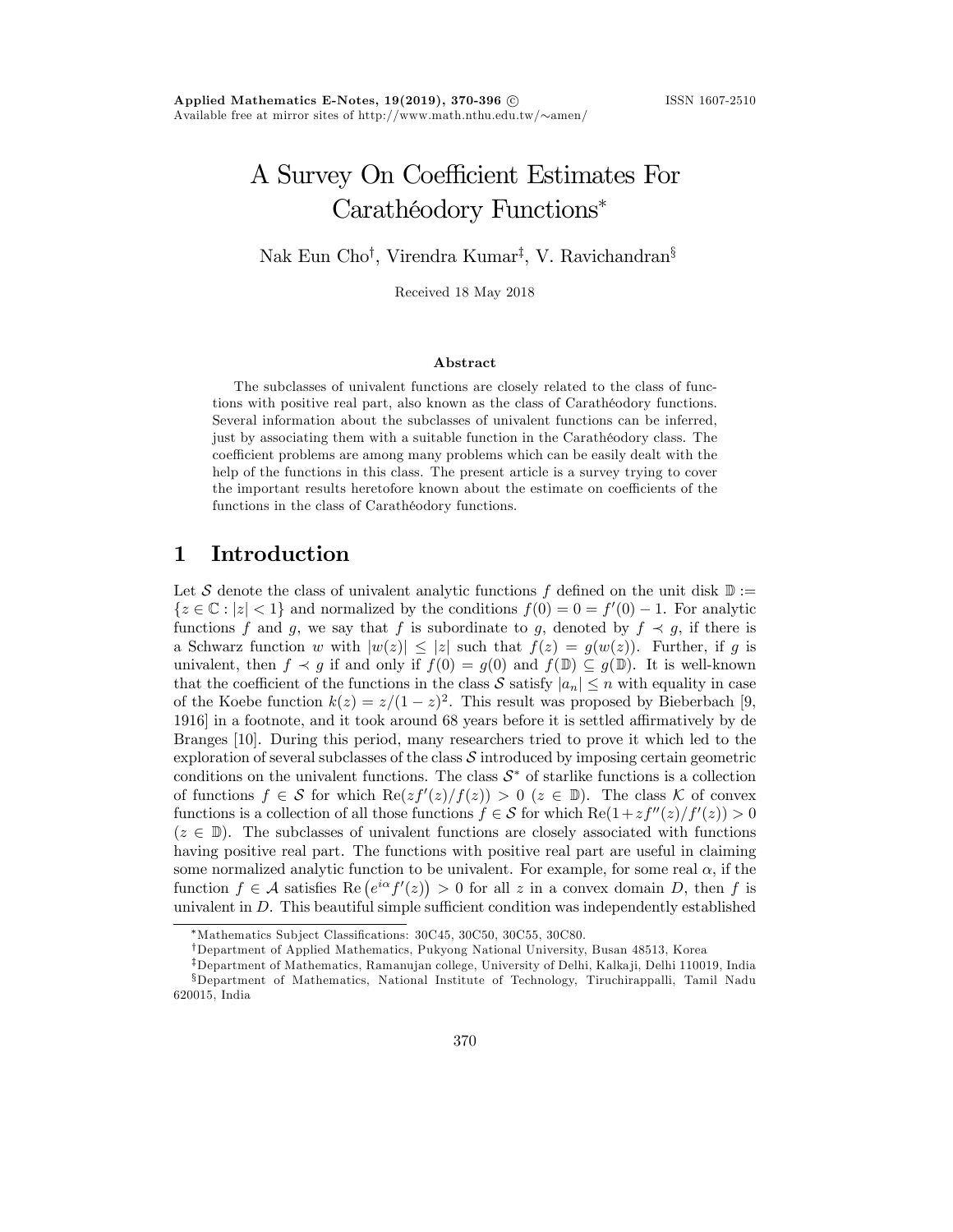# A Survey On Coefficient Estimates For Carathéodory Functions\*

Nak Eun Cho<sup>†</sup>, Virendra Kumar<sup>‡</sup>, V. Ravichandran<sup>§</sup>

Received 18 May 2018

#### Abstract

The subclasses of univalent functions are closely related to the class of functions with positive real part, also known as the class of Carathéodory functions. Several information about the subclasses of univalent functions can be inferred, just by associating them with a suitable function in the Carathéodory class. The coefficient problems are among many problems which can be easily dealt with the help of the functions in this class. The present article is a survey trying to cover the important results heretofore known about the estimate on coefficients of the functions in the class of Carathéodory functions.

#### 1 Introduction

Let S denote the class of univalent analytic functions f defined on the unit disk  $\mathbb{D}$  :=  ${z \in \mathbb{C} : |z| < 1}$  and normalized by the conditions  $f(0) = 0 = f'(0) - 1$ . For analytic functions f and g, we say that f is subordinate to g, denoted by  $f \prec g$ , if there is a Schwarz function w with  $|w(z)| \leq |z|$  such that  $f(z) = g(w(z))$ . Further, if g is univalent, then  $f \prec g$  if and only if  $f(0) = g(0)$  and  $f(\mathbb{D}) \subseteq g(\mathbb{D})$ . It is well-known that the coefficient of the functions in the class S satisfy  $|a_n| \leq n$  with equality in case of the Koebe function  $k(z) = z/(1 - z)^2$ . This result was proposed by Bieberbach [9, 1916] in a footnote, and it took around 68 years before it is settled affirmatively by de Branges [10]. During this period, many researchers tried to prove it which led to the exploration of several subclasses of the class  $\mathcal S$  introduced by imposing certain geometric conditions on the univalent functions. The class  $S^*$  of starlike functions is a collection of functions  $f \in \mathcal{S}$  for which  $\text{Re}(zf'(z)/f(z)) > 0$   $(z \in \mathbb{D})$ . The class K of convex functions is a collection of all those functions  $f \in S$  for which  $\text{Re}(1 + zf''(z)/f'(z)) > 0$  $(z \in \mathbb{D})$ . The subclasses of univalent functions are closely associated with functions having positive real part. The functions with positive real part are useful in claiming some normalized analytic function to be univalent. For example, for some real  $\alpha$ , if the function  $f \in \mathcal{A}$  satisfies  $\text{Re}(e^{i\alpha}f'(z)) > 0$  for all z in a convex domain D, then f is univalent in  $D$ . This beautiful simple sufficient condition was independently established

<sup>\*</sup>Mathematics Subject Classifications: 30C45, 30C50, 30C55, 30C80.

<sup>&</sup>lt;sup>†</sup>Department of Applied Mathematics, Pukyong National University, Busan 48513, Korea

<sup>&</sup>lt;sup>‡</sup>Department of Mathematics, Ramanujan college, University of Delhi, Kalka ji, Delhi 110019, India xDepartment of Mathematics, National Institute of Technology, Tiruchirappalli, Tamil Nadu 620015, India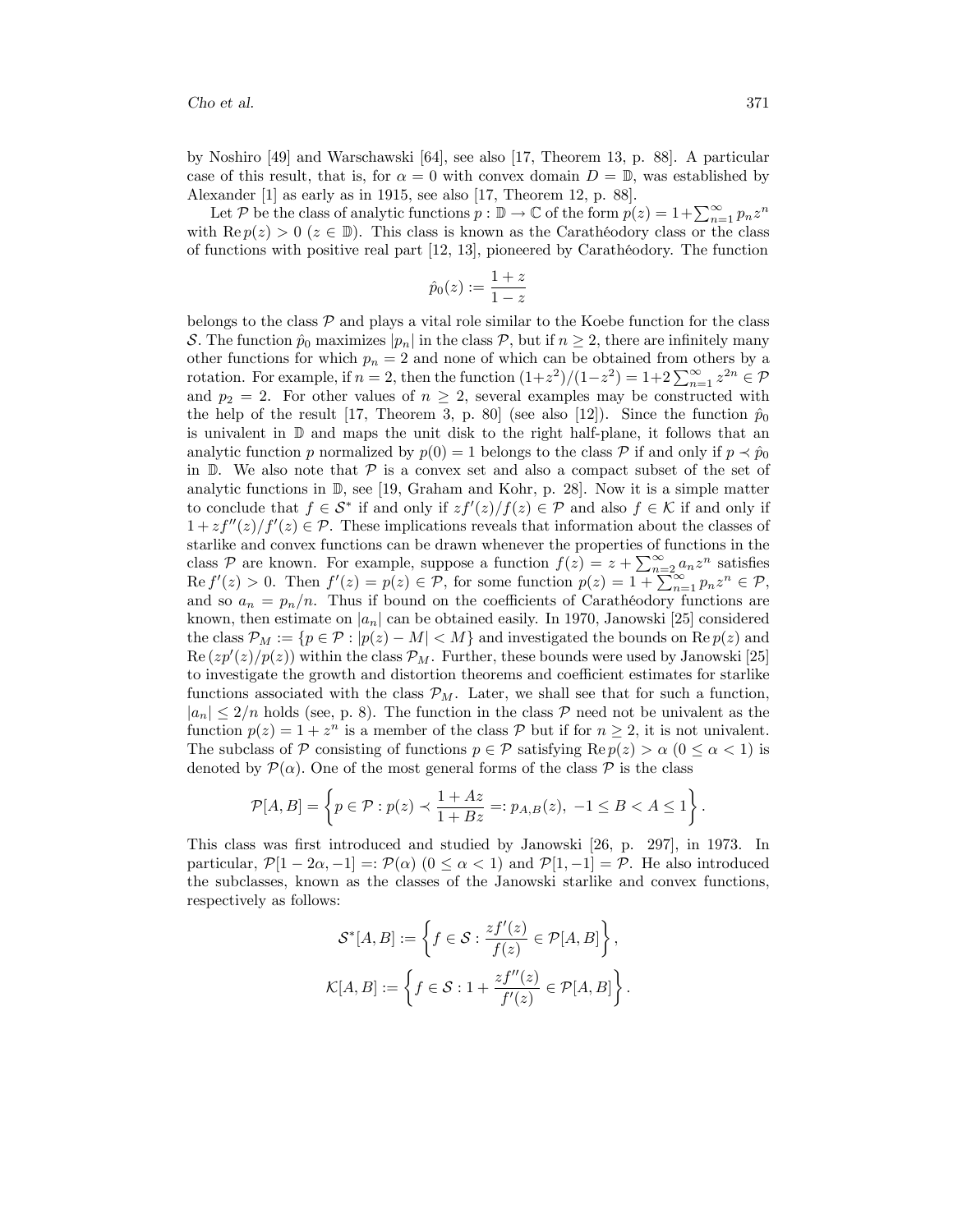by Noshiro [49] and Warschawski [64], see also [17, Theorem 13, p. 88]. A particular case of this result, that is, for  $\alpha = 0$  with convex domain  $D = \mathbb{D}$ , was established by Alexander [1] as early as in 1915, see also [17, Theorem 12, p. 88].

Let P be the class of analytic functions  $p : \mathbb{D} \to \mathbb{C}$  of the form  $p(z) = 1 + \sum_{n=1}^{\infty} p_n z^n$ with Re  $p(z) > 0$  ( $z \in \mathbb{D}$ ). This class is known as the Carathéodory class or the class of functions with positive real part  $[12, 13]$ , pioneered by Carathéodory. The function

$$
\hat{p}_0(z) := \frac{1+z}{1-z}
$$

belongs to the class  $P$  and plays a vital role similar to the Koebe function for the class S. The function  $\hat{p}_0$  maximizes  $|p_n|$  in the class  $\mathcal{P}$ , but if  $n \geq 2$ , there are infinitely many other functions for which  $p_n = 2$  and none of which can be obtained from others by a rotation. For example, if  $n = 2$ , then the function  $(1+z^2)/(1-z^2) = 1+2\sum_{n=1}^{\infty} z^{2n} \in \mathcal{P}$ and  $p_2 = 2$ . For other values of  $n \geq 2$ , several examples may be constructed with the help of the result [17, Theorem 3, p. 80] (see also [12]). Since the function  $\hat{p}_0$ is univalent in D and maps the unit disk to the right half-plane, it follows that an analytic function p normalized by  $p(0) = 1$  belongs to the class P if and only if  $p \prec \hat{p}_0$ in  $\mathbb{D}$ . We also note that  $\mathcal{P}$  is a convex set and also a compact subset of the set of analytic functions in  $\mathbb{D}$ , see [19, Graham and Kohr, p. 28]. Now it is a simple matter to conclude that  $f \in S^*$  if and only if  $zf'(z)/f(z) \in \mathcal{P}$  and also  $f \in \mathcal{K}$  if and only if  $1 + z f''(z)/f'(z) \in \mathcal{P}$ . These implications reveals that information about the classes of starlike and convex functions can be drawn whenever the properties of functions in the class P are known. For example, suppose a function  $f(z) = z + \sum_{n=2}^{\infty} a_n z^n$  satisfies  $\text{Re } f'(z) > 0.$  Then  $f'(z) = p(z) \in \mathcal{P}$ , for some function  $p(z) = 1 + \sum_{n=1}^{\infty} p_n z^n \in \mathcal{P}$ , and so  $a_n = p_n/n$ . Thus if bound on the coefficients of Carathéodory functions are known, then estimate on  $|a_n|$  can be obtained easily. In 1970, Janowski [25] considered the class  $\mathcal{P}_M := \{p \in \mathcal{P} : |p(z) - M| < M\}$  and investigated the bounds on  $\text{Re } p(z)$  and  $\text{Re}(zp'(z)/p(z))$  within the class  $\mathcal{P}_M$ . Further, these bounds were used by Janowski [25] to investigate the growth and distortion theorems and coefficient estimates for starlike functions associated with the class  $\mathcal{P}_M$ . Later, we shall see that for such a function,  $|a_n| \leq 2/n$  holds (see, p. 8). The function in the class P need not be univalent as the function  $p(z) = 1 + z^n$  is a member of the class  $\mathcal P$  but if for  $n \geq 2$ , it is not univalent. The subclass of P consisting of functions  $p \in \mathcal{P}$  satisfying  $\text{Re } p(z) > \alpha$  ( $0 \leq \alpha < 1$ ) is denoted by  $\mathcal{P}(\alpha)$ . One of the most general forms of the class  $\mathcal P$  is the class

$$
\mathcal{P}[A,B] = \left\{p \in \mathcal{P}: p(z) \prec \frac{1+Az}{1+Bz} =: p_{A,B}(z), \ -1 \leq B < A \leq 1\right\}.
$$

This class was first introduced and studied by Janowski [26, p. 297], in 1973. In particular,  $\mathcal{P}[1 - 2\alpha, -1] = \mathcal{P}(\alpha)$   $(0 \leq \alpha < 1)$  and  $\mathcal{P}[1, -1] = \mathcal{P}$ . He also introduced the subclasses, known as the classes of the Janowski starlike and convex functions, respectively as follows:

$$
\mathcal{S}^*[A, B] := \left\{ f \in \mathcal{S} : \frac{zf'(z)}{f(z)} \in \mathcal{P}[A, B] \right\},\
$$

$$
\mathcal{K}[A, B] := \left\{ f \in \mathcal{S} : 1 + \frac{zf''(z)}{f'(z)} \in \mathcal{P}[A, B] \right\}.
$$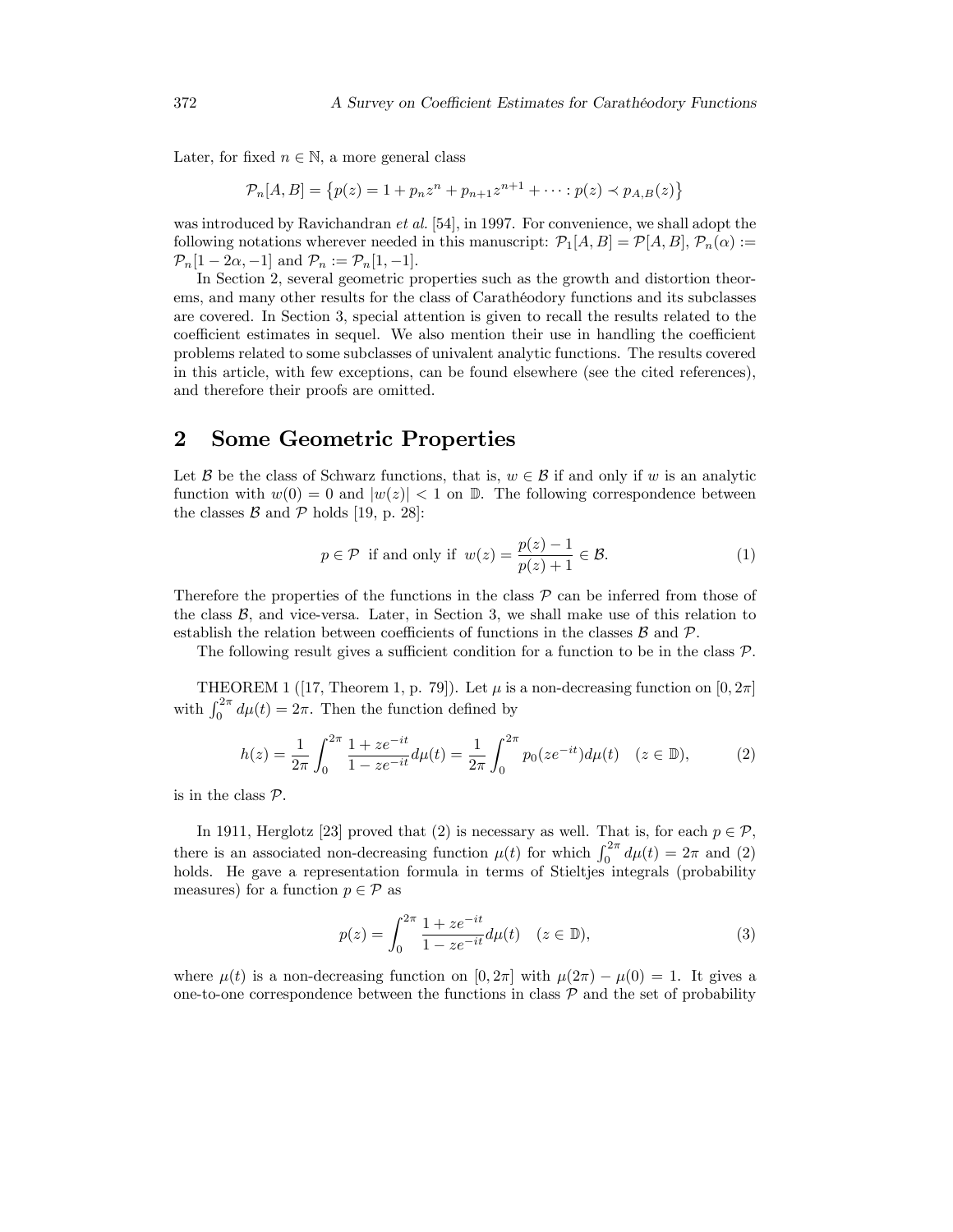Later, for fixed  $n \in \mathbb{N}$ , a more general class

$$
\mathcal{P}_n[A, B] = \{ p(z) = 1 + p_n z^n + p_{n+1} z^{n+1} + \dots : p(z) \prec p_{A,B}(z) \}
$$

was introduced by Ravichandran et al. [54], in 1997. For convenience, we shall adopt the following notations wherever needed in this manuscript:  $\mathcal{P}_1[A, B] = \mathcal{P}[A, B],$   $\mathcal{P}_n(\alpha) :=$  $\mathcal{P}_n[1 - 2\alpha, -1]$  and  $\mathcal{P}_n := \mathcal{P}_n[1, -1]$ .

In Section 2, several geometric properties such as the growth and distortion theorems, and many other results for the class of Carathéodory functions and its subclasses are covered. In Section 3, special attention is given to recall the results related to the coefficient estimates in sequel. We also mention their use in handling the coefficient problems related to some subclasses of univalent analytic functions. The results covered in this article, with few exceptions, can be found elsewhere (see the cited references), and therefore their proofs are omitted.

## 2 Some Geometric Properties

Let B be the class of Schwarz functions, that is,  $w \in \mathcal{B}$  if and only if w is an analytic function with  $w(0) = 0$  and  $|w(z)| < 1$  on D. The following correspondence between the classes  $\mathcal{B}$  and  $\mathcal{P}$  holds [19, p. 28]:

$$
p \in \mathcal{P} \text{ if and only if } w(z) = \frac{p(z) - 1}{p(z) + 1} \in \mathcal{B}. \tag{1}
$$

Therefore the properties of the functions in the class  $\mathcal P$  can be inferred from those of the class  $\mathcal{B}$ , and vice-versa. Later, in Section 3, we shall make use of this relation to establish the relation between coefficients of functions in the classes  $B$  and  $\mathcal{P}$ .

The following result gives a sufficient condition for a function to be in the class  $\mathcal{P}$ .

THEOREM 1 ([17, Theorem 1, p. 79]). Let  $\mu$  is a non-decreasing function on [0, 2 $\pi$ ] with  $\int_0^{2\pi} d\mu(t) = 2\pi$ . Then the function defined by

$$
h(z) = \frac{1}{2\pi} \int_0^{2\pi} \frac{1 + ze^{-it}}{1 - ze^{-it}} d\mu(t) = \frac{1}{2\pi} \int_0^{2\pi} p_0(ze^{-it}) d\mu(t) \quad (z \in \mathbb{D}),\tag{2}
$$

is in the class  $P$ .

In 1911, Herglotz [23] proved that (2) is necessary as well. That is, for each  $p \in \mathcal{P}$ , there is an associated non-decreasing function  $\mu(t)$  for which  $\int_0^{2\pi} d\mu(t) = 2\pi$  and (2) holds. He gave a representation formula in terms of Stieltjes integrals (probability measures) for a function  $p \in \mathcal{P}$  as

$$
p(z) = \int_0^{2\pi} \frac{1 + ze^{-it}}{1 - ze^{-it}} d\mu(t) \quad (z \in \mathbb{D}),
$$
 (3)

where  $\mu(t)$  is a non-decreasing function on  $[0, 2\pi]$  with  $\mu(2\pi) - \mu(0) = 1$ . It gives a one-to-one correspondence between the functions in class  $P$  and the set of probability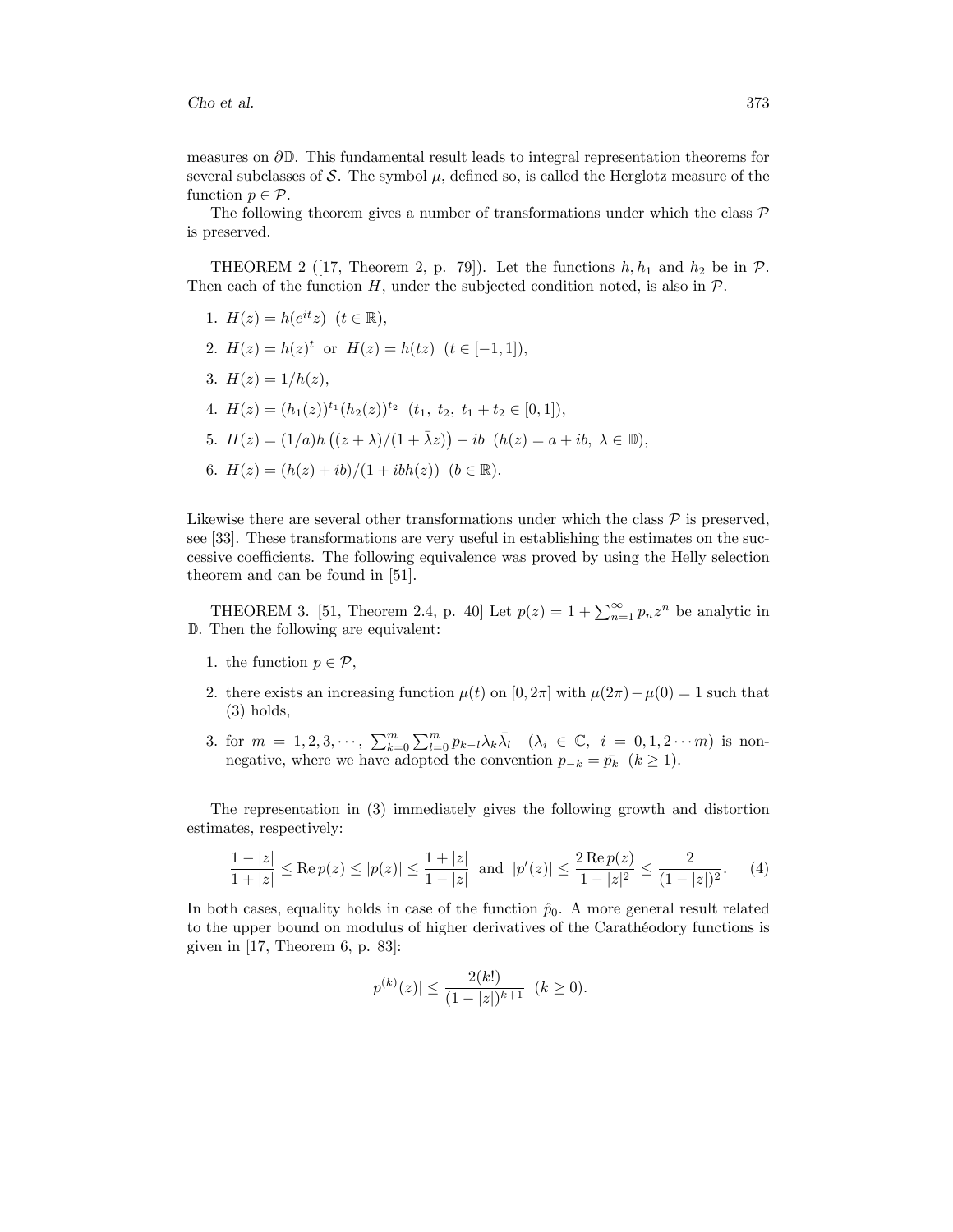measures on  $\partial \mathbb{D}$ . This fundamental result leads to integral representation theorems for several subclasses of S. The symbol  $\mu$ , defined so, is called the Herglotz measure of the function  $p \in \mathcal{P}$ .

The following theorem gives a number of transformations under which the class  $\mathcal{P}$ is preserved.

THEOREM 2 ([17, Theorem 2, p. 79]). Let the functions  $h, h_1$  and  $h_2$  be in  $\mathcal{P}$ . Then each of the function  $H$ , under the subjected condition noted, is also in  $\mathcal{P}$ .

1.  $H(z) = h(e^{it}z)$   $(t \in \mathbb{R}),$ 2.  $H(z) = h(z)^t$  or  $H(z) = h(tz)$   $(t \in [-1, 1]),$ 3.  $H(z) = 1/h(z)$ , 4.  $H(z) = (h_1(z))^{t_1} (h_2(z))^{t_2}$   $(t_1, t_2, t_1 + t_2 \in [0, 1]),$ 5.  $H(z) = (1/a)h((z + \lambda)/(1 + \bar{\lambda}z)) - ib(h(z) = a + ib, \lambda \in \mathbb{D}),$ 6.  $H(z) = (h(z) + ib)/(1 + ibh(z))$   $(b \in \mathbb{R}).$ 

Likewise there are several other transformations under which the class  $\mathcal P$  is preserved, see [33]. These transformations are very useful in establishing the estimates on the successive coefficients. The following equivalence was proved by using the Helly selection theorem and can be found in [51].

THEOREM 3. [51, Theorem 2.4, p. 40] Let  $p(z) = 1 + \sum_{n=1}^{\infty} p_n z^n$  be analytic in D. Then the following are equivalent:

- 1. the function  $p \in \mathcal{P}$ ,
- 2. there exists an increasing function  $\mu(t)$  on  $[0, 2\pi]$  with  $\mu(2\pi) \mu(0) = 1$  such that (3) holds,
- 3. for  $m = 1, 2, 3, \dots, \sum_{k=0}^{m} \sum_{l=0}^{m} p_{k-l} \lambda_k \overline{\lambda}_l \quad (\lambda_i \in \mathbb{C}, i = 0, 1, 2, \dots m)$  is nonnegative, where we have adopted the convention  $p_{-k} = \bar{p}_k$   $(k \ge 1)$ .

The representation in (3) immediately gives the following growth and distortion estimates, respectively:

$$
\frac{1-|z|}{1+|z|} \le \text{Re}\, p(z) \le |p(z)| \le \frac{1+|z|}{1-|z|} \text{ and } |p'(z)| \le \frac{2\,\text{Re}\, p(z)}{1-|z|^2} \le \frac{2}{(1-|z|)^2}.\tag{4}
$$

In both cases, equality holds in case of the function  $\hat{p}_0$ . A more general result related to the upper bound on modulus of higher derivatives of the Caratheodory functions is given in [17, Theorem 6, p. 83]:

$$
|p^{(k)}(z)| \le \frac{2(k!)}{(1-|z|)^{k+1}} \quad (k \ge 0).
$$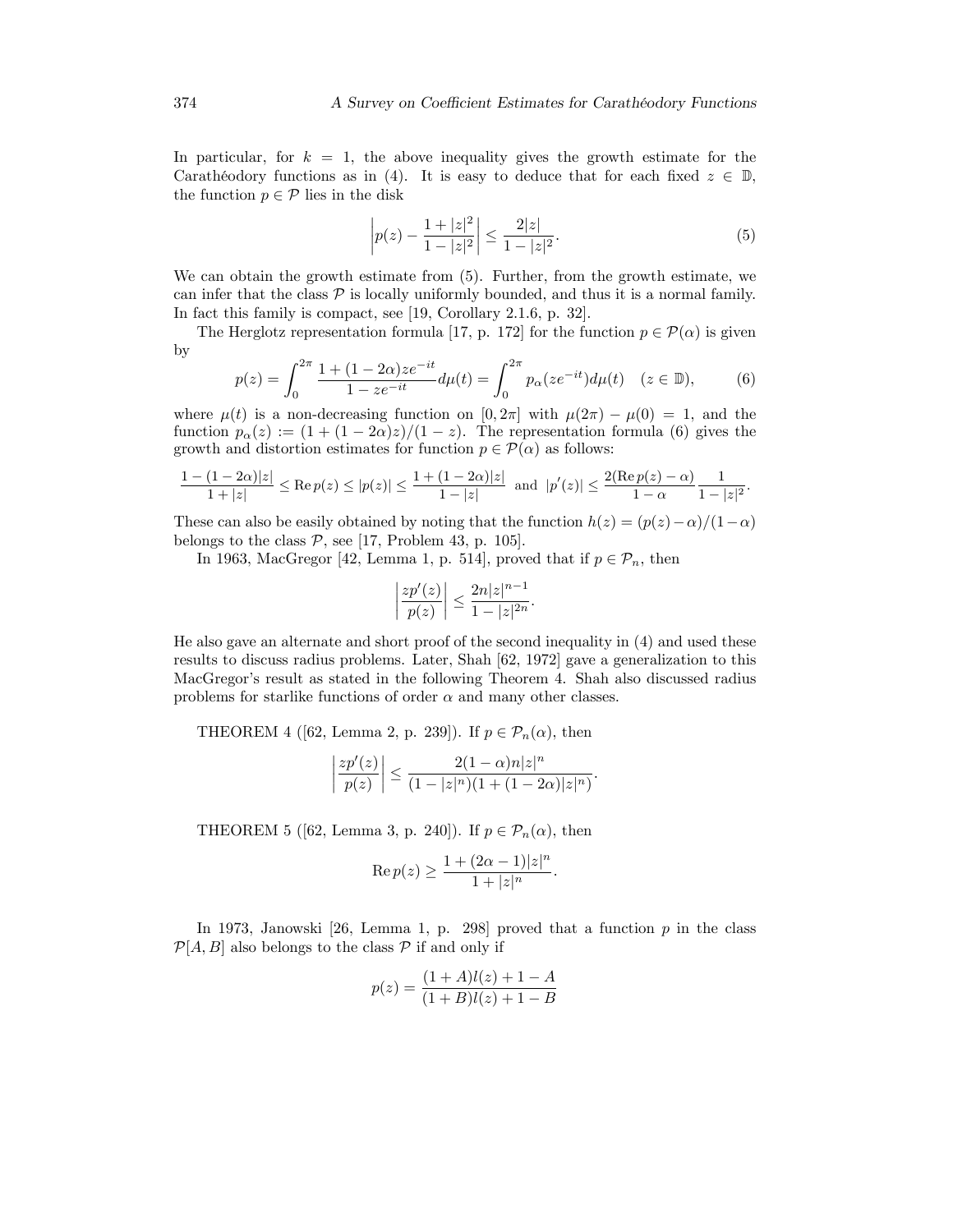In particular, for  $k = 1$ , the above inequality gives the growth estimate for the Carathéodory functions as in (4). It is easy to deduce that for each fixed  $z \in \mathbb{D}$ , the function  $p \in \mathcal{P}$  lies in the disk

$$
\left| p(z) - \frac{1+|z|^2}{1-|z|^2} \right| \le \frac{2|z|}{1-|z|^2}.
$$
\n(5)

We can obtain the growth estimate from (5). Further, from the growth estimate, we can infer that the class  $P$  is locally uniformly bounded, and thus it is a normal family. In fact this family is compact, see [19, Corollary 2.1.6, p. 32].

The Herglotz representation formula [17, p. 172] for the function  $p \in \mathcal{P}(\alpha)$  is given by

$$
p(z) = \int_0^{2\pi} \frac{1 + (1 - 2\alpha)ze^{-it}}{1 - ze^{-it}} d\mu(t) = \int_0^{2\pi} p_\alpha(ze^{-it}) d\mu(t) \quad (z \in \mathbb{D}),\tag{6}
$$

where  $\mu(t)$  is a non-decreasing function on  $[0, 2\pi]$  with  $\mu(2\pi) - \mu(0) = 1$ , and the function  $p_{\alpha}(z) := (1 + (1 - 2\alpha)z)/(1 - z)$ . The representation formula (6) gives the growth and distortion estimates for function  $p \in \mathcal{P}(\alpha)$  as follows:

$$
\frac{1-(1-2\alpha)|z|}{1+|z|} \le \text{Re}\, p(z) \le |p(z)| \le \frac{1+(1-2\alpha)|z|}{1-|z|} \text{ and } |p'(z)| \le \frac{2(\text{Re}\, p(z)-\alpha)}{1-\alpha}\frac{1}{1-|z|^2}.
$$

These can also be easily obtained by noting that the function  $h(z) = (p(z)-\alpha)/(1-\alpha)$ belongs to the class  $P$ , see [17, Problem 43, p. 105].

In 1963, MacGregor [42, Lemma 1, p. 514], proved that if  $p \in \mathcal{P}_n$ , then

$$
\left|\frac{zp'(z)}{p(z)}\right|\leq \frac{2n|z|^{n-1}}{1-|z|^{2n}}.
$$

He also gave an alternate and short proof of the second inequality in (4) and used these results to discuss radius problems. Later, Shah [62, 1972] gave a generalization to this MacGregor's result as stated in the following Theorem 4. Shah also discussed radius problems for starlike functions of order  $\alpha$  and many other classes.

THEOREM 4 ([62, Lemma 2, p. 239]). If  $p \in \mathcal{P}_n(\alpha)$ , then

$$
\left|\frac{zp'(z)}{p(z)}\right|\leq \frac{2(1-\alpha)n|z|^n}{(1-|z|^n)(1+(1-2\alpha)|z|^n)}
$$

:

THEOREM 5 ([62, Lemma 3, p. 240]). If  $p \in \mathcal{P}_n(\alpha)$ , then

$$
\operatorname{Re} p(z) \ge \frac{1 + (2\alpha - 1)|z|^n}{1 + |z|^n}.
$$

In 1973, Janowski [26, Lemma 1, p. 298] proved that a function  $p$  in the class  $\mathcal{P}[A, B]$  also belongs to the class  $\mathcal P$  if and only if

$$
p(z) = \frac{(1+A)l(z) + 1 - A}{(1+B)l(z) + 1 - B}
$$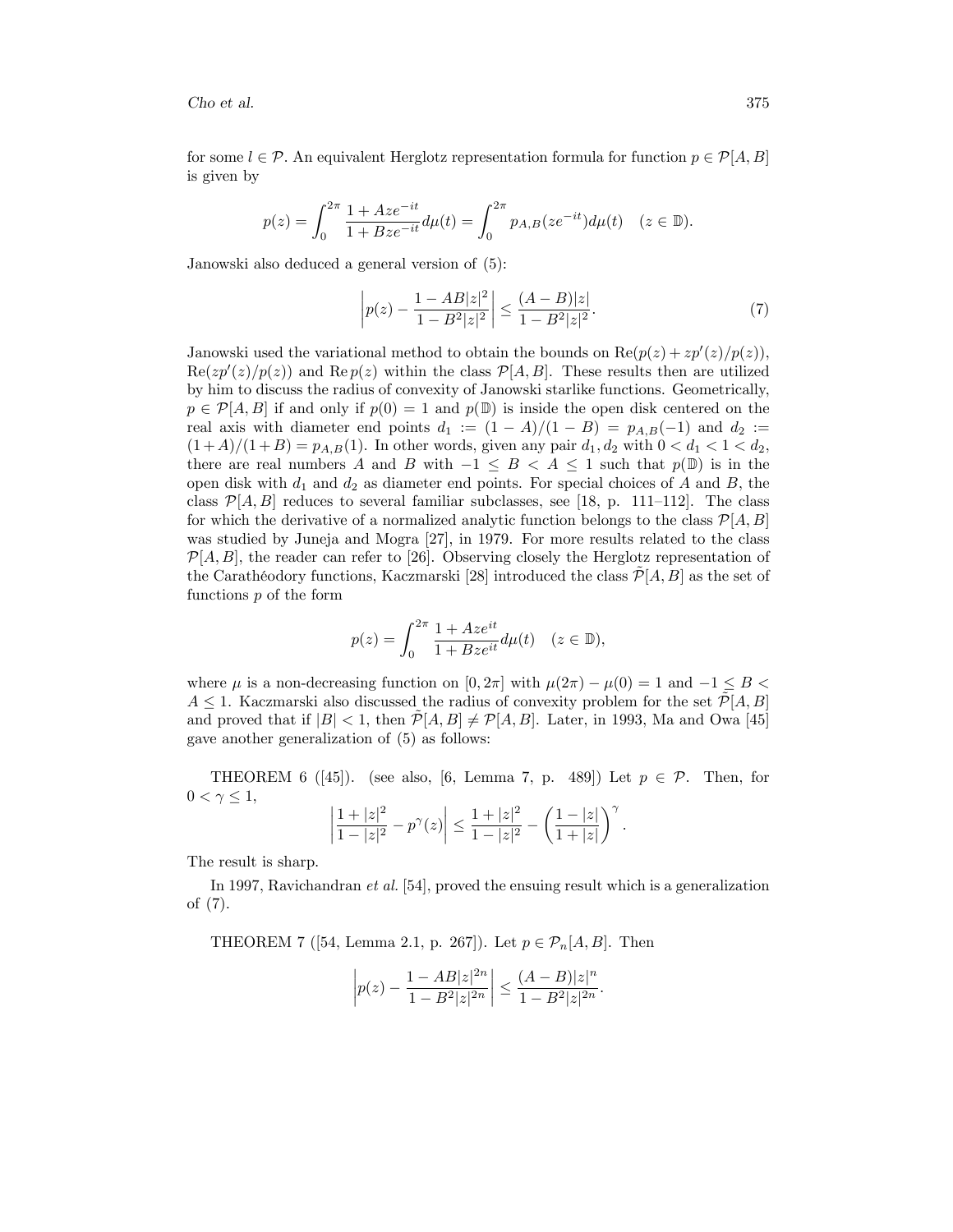for some  $l \in \mathcal{P}$ . An equivalent Herglotz representation formula for function  $p \in \mathcal{P}[A, B]$ is given by

$$
p(z) = \int_0^{2\pi} \frac{1 + Aze^{-it}}{1 + Bze^{-it}} d\mu(t) = \int_0^{2\pi} p_{A,B}(ze^{-it}) d\mu(t) \quad (z \in \mathbb{D}).
$$

Janowski also deduced a general version of (5):

$$
\left| p(z) - \frac{1 - AB|z|^2}{1 - B^2|z|^2} \right| \le \frac{(A - B)|z|}{1 - B^2|z|^2}.
$$
\n(7)

Janowski used the variational method to obtain the bounds on  $\text{Re}(p(z) + zp'(z)/p(z)),$  $\text{Re}(zp'(z)/p(z))$  and  $\text{Re }p(z)$  within the class  $\mathcal{P}[A, B]$ . These results then are utilized by him to discuss the radius of convexity of Janowski starlike functions. Geometrically,  $p \in \mathcal{P}[A, B]$  if and only if  $p(0) = 1$  and  $p(\mathbb{D})$  is inside the open disk centered on the real axis with diameter end points  $d_1 := (1 - A)/(1 - B) = p_{A,B}(-1)$  and  $d_2 :=$  $(1 + A)/(1 + B) = p_{A,B}(1)$ . In other words, given any pair  $d_1, d_2$  with  $0 < d_1 < 1 < d_2$ , there are real numbers A and B with  $-1 \leq B < A \leq 1$  such that  $p(\mathbb{D})$  is in the open disk with  $d_1$  and  $d_2$  as diameter end points. For special choices of A and B, the class  $\mathcal{P}[A, B]$  reduces to several familiar subclasses, see [18, p. 111–112]. The class for which the derivative of a normalized analytic function belongs to the class  $\mathcal{P}[A, B]$ was studied by Juneja and Mogra [27], in 1979. For more results related to the class  $\mathcal{P}[A, B]$ , the reader can refer to [26]. Observing closely the Herglotz representation of the Carathéodory functions, Kaczmarski [28] introduced the class  $\mathcal{P}[A, B]$  as the set of functions p of the form

$$
p(z)=\int_0^{2\pi}\frac{1+Az e^{it}}{1+Bz e^{it}}d\mu(t)\quad(z\in\mathbb{D}),
$$

where  $\mu$  is a non-decreasing function on [0, 2 $\pi$ ] with  $\mu(2\pi) - \mu(0) = 1$  and  $-1 \leq B$  $A \leq 1$ . Kaczmarski also discussed the radius of convexity problem for the set  $\mathcal{P}[A, B]$ and proved that if  $|B| < 1$ , then  $\mathcal{P}[A, B] \neq \mathcal{P}[A, B]$ . Later, in 1993, Ma and Owa [45] gave another generalization of (5) as follows:

THEOREM 6 ([45]). (see also, [6, Lemma 7, p. 489]) Let  $p \in \mathcal{P}$ . Then, for  $0 < \gamma \leq 1$ ,

$$
\left|\frac{1+|z|^2}{1-|z|^2}-p^{\gamma}(z)\right|\leq \frac{1+|z|^2}{1-|z|^2}-\left(\frac{1-|z|}{1+|z|}\right)^{\gamma}.
$$

The result is sharp.

In 1997, Ravichandran et al. [54], proved the ensuing result which is a generalization of (7).

THEOREM 7 ([54, Lemma 2.1, p. 267]). Let  $p \in \mathcal{P}_n[A, B]$ . Then

$$
\left| p(z) - \frac{1 - AB|z|^{2n}}{1 - B^2|z|^{2n}} \right| \le \frac{(A - B)|z|^n}{1 - B^2|z|^{2n}}.
$$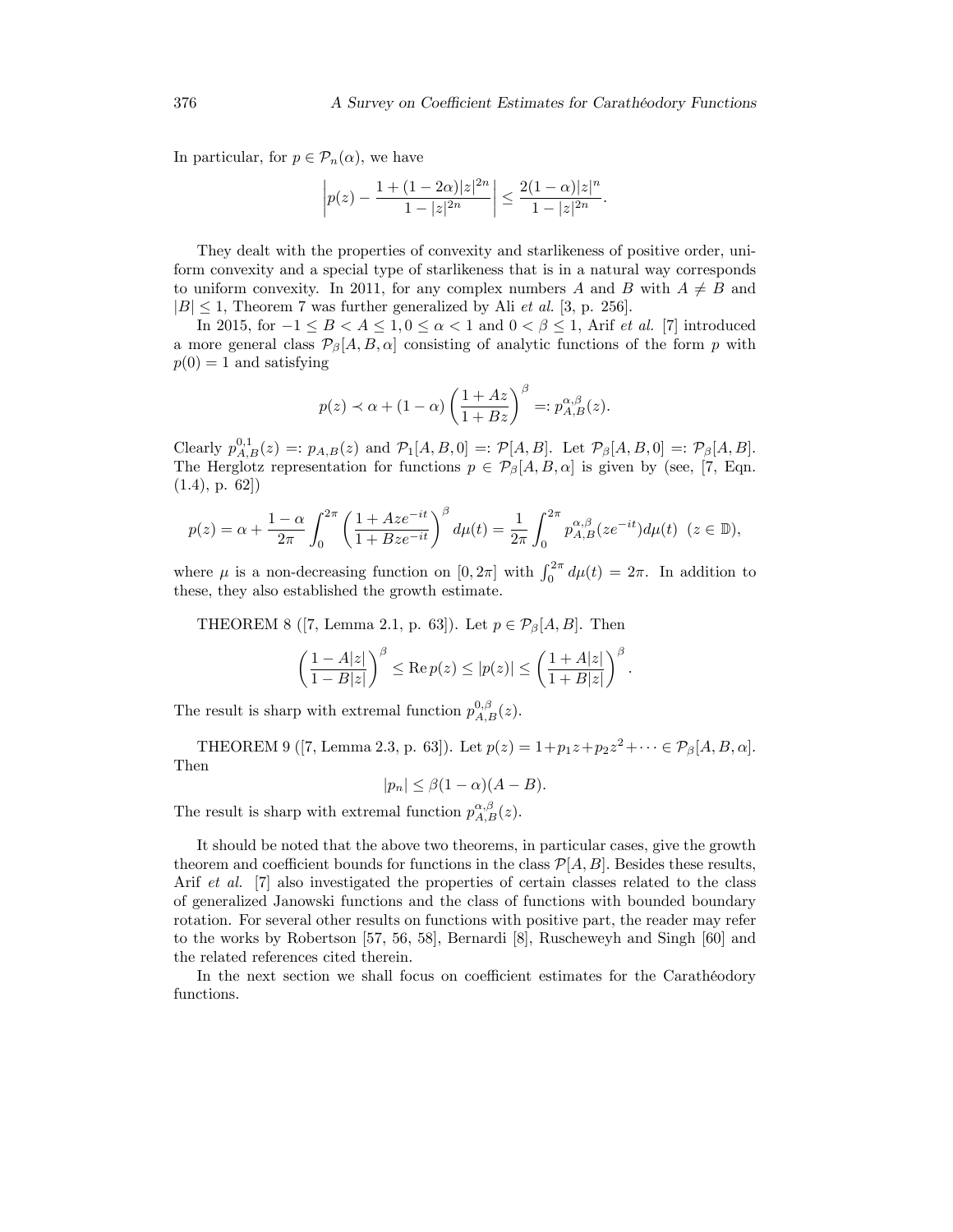In particular, for  $p \in \mathcal{P}_n(\alpha)$ , we have

$$
\left| p(z) - \frac{1 + (1 - 2\alpha)|z|^{2n}}{1 - |z|^{2n}} \right| \le \frac{2(1 - \alpha)|z|^n}{1 - |z|^{2n}}.
$$

They dealt with the properties of convexity and starlikeness of positive order, uniform convexity and a special type of starlikeness that is in a natural way corresponds to uniform convexity. In 2011, for any complex numbers A and B with  $A \neq B$  and  $|B| \leq 1$ , Theorem 7 was further generalized by Ali *et al.* [3, p. 256].

In 2015, for  $-1 \leq B < A \leq 1, 0 \leq \alpha < 1$  and  $0 < \beta \leq 1$ , Arif *et al.* [7] introduced a more general class  $\mathcal{P}_{\beta}[A, B, \alpha]$  consisting of analytic functions of the form p with  $p(0) = 1$  and satisfying

$$
p(z) \prec \alpha + (1 - \alpha) \left( \frac{1 + Az}{1 + Bz} \right)^{\beta} =: p_{A,B}^{\alpha,\beta}(z).
$$

Clearly  $p_{A,B}^{0,1}(z) =: p_{A,B}(z)$  and  $\mathcal{P}_1[A, B, 0] =: \mathcal{P}[A, B]$ . Let  $\mathcal{P}_{\beta}[A, B, 0] =: \mathcal{P}_{\beta}[A, B]$ . The Herglotz representation for functions  $p \in \mathcal{P}_{\beta}[A, B, \alpha]$  is given by (see, [7, Eqn.  $(1.4)$ , p. 62])

$$
p(z) = \alpha + \frac{1-\alpha}{2\pi} \int_0^{2\pi} \left( \frac{1 + Aze^{-it}}{1 + Bze^{-it}} \right)^{\beta} d\mu(t) = \frac{1}{2\pi} \int_0^{2\pi} p_{A,B}^{\alpha,\beta} (ze^{-it}) d\mu(t) \ \ (z \in \mathbb{D}),
$$

where  $\mu$  is a non-decreasing function on  $[0, 2\pi]$  with  $\int_0^{2\pi} d\mu(t) = 2\pi$ . In addition to these, they also established the growth estimate.

THEOREM 8 ([7, Lemma 2.1, p. 63]). Let  $p \in \mathcal{P}_{\beta}[A, B]$ . Then

$$
\left(\frac{1-A|z|}{1-B|z|}\right)^{\beta} \le \text{Re}\, p(z) \le |p(z)| \le \left(\frac{1+A|z|}{1+B|z|}\right)^{\beta}
$$

:

The result is sharp with extremal function  $p_{A,B}^{0,\beta}(z)$ .

THEOREM 9 ([7, Lemma 2.3, p. 63]). Let  $p(z) = 1 + p_1 z + p_2 z^2 + \cdots \in \mathcal{P}_{\beta}[A, B, \alpha]$ . Then

$$
|p_n| \le \beta(1-\alpha)(A-B).
$$

The result is sharp with extremal function  $p_{A,B}^{\alpha,\beta}(z)$ .

It should be noted that the above two theorems, in particular cases, give the growth theorem and coefficient bounds for functions in the class  $\mathcal{P}[A, B]$ . Besides these results, Arif *et al.* [7] also investigated the properties of certain classes related to the class of generalized Janowski functions and the class of functions with bounded boundary rotation. For several other results on functions with positive part, the reader may refer to the works by Robertson [57, 56, 58], Bernardi [8], Ruscheweyh and Singh [60] and the related references cited therein.

In the next section we shall focus on coefficient estimates for the Caratheodory functions.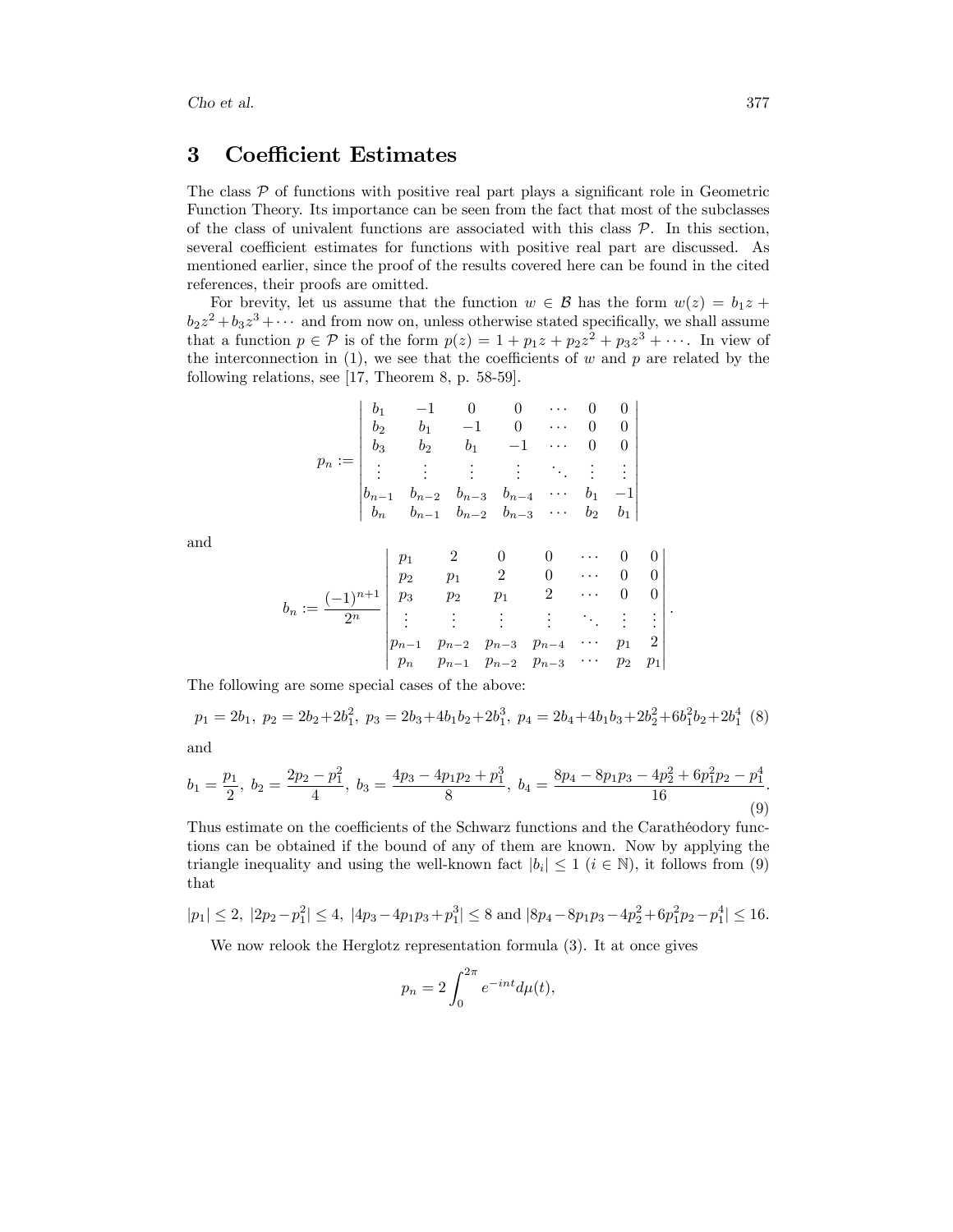## 3 Coefficient Estimates

The class  $P$  of functions with positive real part plays a significant role in Geometric Function Theory. Its importance can be seen from the fact that most of the subclasses of the class of univalent functions are associated with this class  $P$ . In this section, several coefficient estimates for functions with positive real part are discussed. As mentioned earlier, since the proof of the results covered here can be found in the cited references, their proofs are omitted.

For brevity, let us assume that the function  $w \in \mathcal{B}$  has the form  $w(z) = b_1 z + b_2 z$  $b_2z^2 + b_3z^3 + \cdots$  and from now on, unless otherwise stated specifically, we shall assume that a function  $p \in \mathcal{P}$  is of the form  $p(z) = 1 + p_1 z + p_2 z^2 + p_3 z^3 + \cdots$ . In view of the interconnection in  $(1)$ , we see that the coefficients of w and p are related by the following relations, see [17, Theorem 8, p. 58-59].

$$
p_n := \begin{vmatrix} b_1 & -1 & 0 & 0 & \cdots & 0 & 0 \\ b_2 & b_1 & -1 & 0 & \cdots & 0 & 0 \\ b_3 & b_2 & b_1 & -1 & \cdots & 0 & 0 \\ \vdots & \vdots & \vdots & \vdots & \ddots & \vdots & \vdots \\ b_{n-1} & b_{n-2} & b_{n-3} & b_{n-4} & \cdots & b_1 & -1 \\ b_n & b_{n-1} & b_{n-2} & b_{n-3} & \cdots & b_2 & b_1 \end{vmatrix}
$$

and

$$
b_n := \frac{(-1)^{n+1}}{2^n} \begin{vmatrix} p_1 & 2 & 0 & 0 & \cdots & 0 & 0 \\ p_2 & p_1 & 2 & 0 & \cdots & 0 & 0 \\ p_3 & p_2 & p_1 & 2 & \cdots & 0 & 0 \\ \vdots & \vdots & \vdots & \vdots & \ddots & \vdots & \vdots \\ p_{n-1} & p_{n-2} & p_{n-3} & p_{n-4} & \cdots & p_1 & 2 \\ p_n & p_{n-1} & p_{n-2} & p_{n-3} & \cdots & p_2 & p_1 \end{vmatrix}
$$

The following are some special cases of the above:

$$
p_1 = 2b_1, p_2 = 2b_2 + 2b_1^2, p_3 = 2b_3 + 4b_1b_2 + 2b_1^3, p_4 = 2b_4 + 4b_1b_3 + 2b_2^2 + 6b_1^2b_2 + 2b_1^4
$$
 (8)

and

$$
b_1 = \frac{p_1}{2}, \ b_2 = \frac{2p_2 - p_1^2}{4}, \ b_3 = \frac{4p_3 - 4p_1p_2 + p_1^3}{8}, \ b_4 = \frac{8p_4 - 8p_1p_3 - 4p_2^2 + 6p_1^2p_2 - p_1^4}{16}.
$$
\n(9)

Thus estimate on the coefficients of the Schwarz functions and the Carathéodory functions can be obtained if the bound of any of them are known. Now by applying the triangle inequality and using the well-known fact  $|b_i| \leq 1$   $(i \in \mathbb{N})$ , it follows from (9) that

$$
|p_1| \le 2, \ |2p_2 - p_1^2| \le 4, \ |4p_3 - 4p_1p_3 + p_1^3| \le 8 \text{ and } |8p_4 - 8p_1p_3 - 4p_2^2 + 6p_1^2p_2 - p_1^4| \le 16.
$$

We now relook the Herglotz representation formula (3). It at once gives

$$
p_n = 2 \int_0^{2\pi} e^{-int} d\mu(t),
$$

: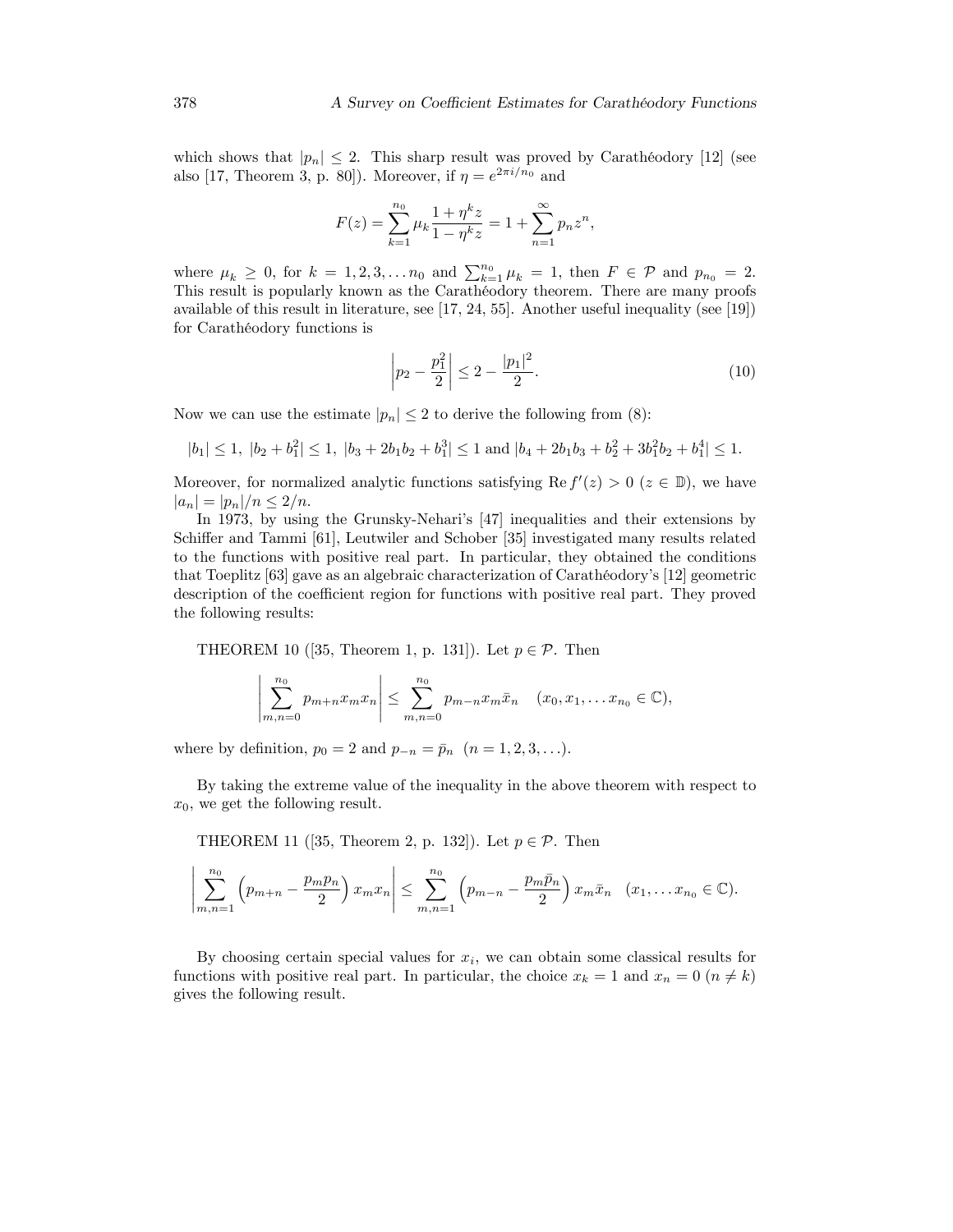which shows that  $|p_n| \leq 2$ . This sharp result was proved by Carathéodory [12] (see also [17, Theorem 3, p. 80]). Moreover, if  $\eta = e^{2\pi i/n_0}$  and

$$
F(z) = \sum_{k=1}^{n_0} \mu_k \frac{1 + \eta^k z}{1 - \eta^k z} = 1 + \sum_{n=1}^{\infty} p_n z^n,
$$

where  $\mu_k \geq 0$ , for  $k = 1, 2, 3, \ldots n_0$  and  $\sum_{k=1}^{n_0} \mu_k = 1$ , then  $F \in \mathcal{P}$  and  $p_{n_0} = 2$ . This result is popularly known as the Carathéodory theorem. There are many proofs available of this result in literature, see [17, 24, 55]. Another useful inequality (see [19]) for Carathéodory functions is

$$
\left| p_2 - \frac{p_1^2}{2} \right| \le 2 - \frac{|p_1|^2}{2}.\tag{10}
$$

Now we can use the estimate  $|p_n| \leq 2$  to derive the following from (8):

$$
|b_1| \le 1
$$
,  $|b_2 + b_1^2| \le 1$ ,  $|b_3 + 2b_1b_2 + b_1^3| \le 1$  and  $|b_4 + 2b_1b_3 + b_2^2 + 3b_1^2b_2 + b_1^4| \le 1$ .

Moreover, for normalized analytic functions satisfying  $\text{Re } f'(z) > 0$   $(z \in \mathbb{D})$ , we have  $|a_n| = |p_n|/n \leq 2/n$ .

In 1973, by using the Grunsky-Nehari's [47] inequalities and their extensions by Schiffer and Tammi [61], Leutwiler and Schober [35] investigated many results related to the functions with positive real part. In particular, they obtained the conditions that Toeplitz  $[63]$  gave as an algebraic characterization of Carathéodory's  $[12]$  geometric description of the coefficient region for functions with positive real part. They proved the following results:

THEOREM 10 ([35, Theorem 1, p. 131]). Let  $p \in \mathcal{P}$ . Then

$$
\left|\sum_{m,n=0}^{n_0} p_{m+n} x_m x_n\right| \leq \sum_{m,n=0}^{n_0} p_{m-n} x_m \bar{x}_n \quad (x_0, x_1, \dots x_{n_0} \in \mathbb{C}),
$$

where by definition,  $p_0 = 2$  and  $p_{-n} = \bar{p}_n$   $(n = 1, 2, 3, \ldots).$ 

By taking the extreme value of the inequality in the above theorem with respect to  $x_0$ , we get the following result.

THEOREM 11 ([35, Theorem 2, p. 132]). Let  $p \in \mathcal{P}$ . Then

$$
\left|\sum_{m,n=1}^{n_0} \left(p_{m+n} - \frac{p_m p_n}{2}\right) x_m x_n\right| \leq \sum_{m,n=1}^{n_0} \left(p_{m-n} - \frac{p_m \bar{p}_n}{2}\right) x_m \bar{x}_n \quad (x_1, \dots, x_{n_0} \in \mathbb{C}).
$$

By choosing certain special values for  $x_i$ , we can obtain some classical results for functions with positive real part. In particular, the choice  $x_k = 1$  and  $x_n = 0$  ( $n \neq k$ ) gives the following result.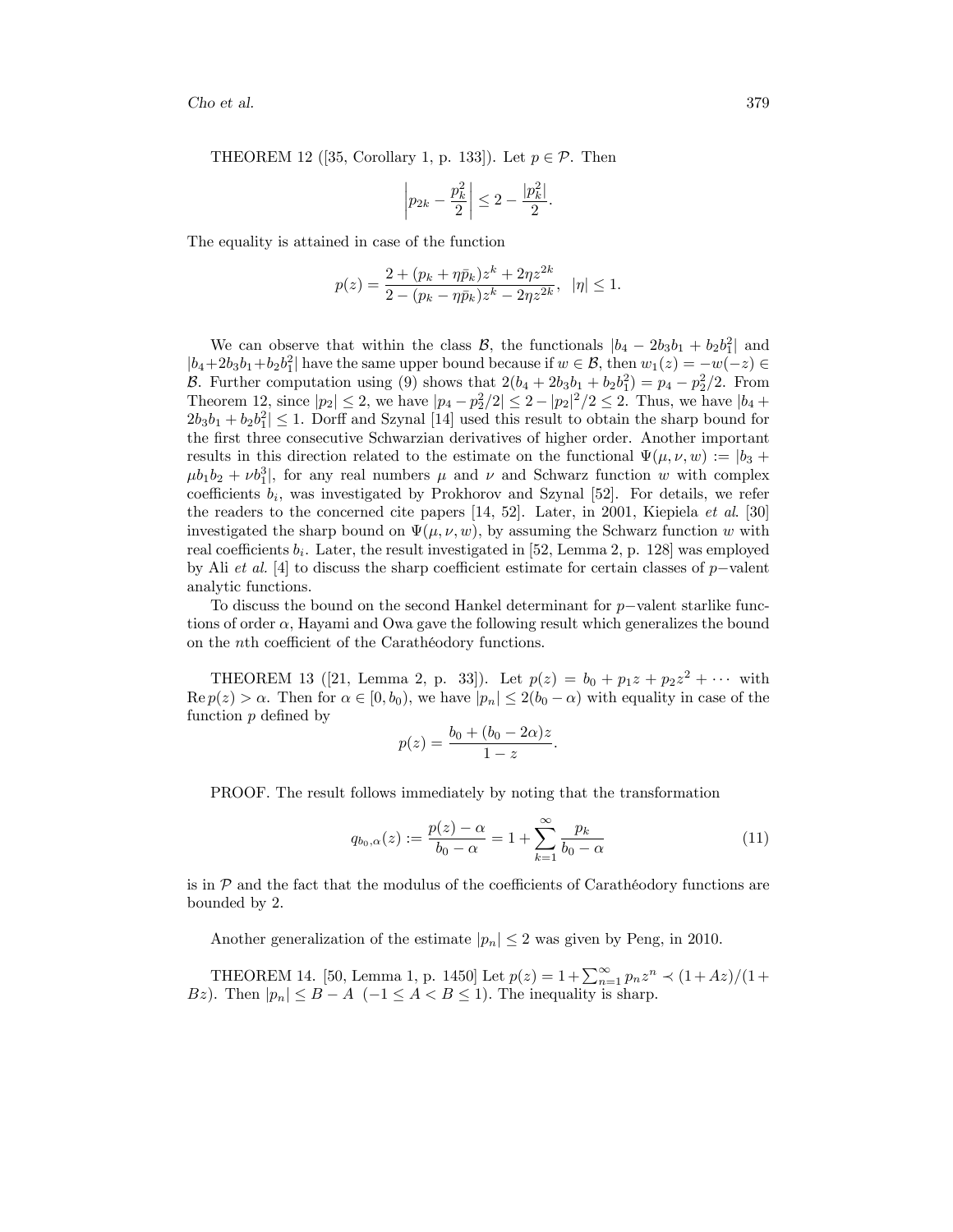THEOREM 12 ([35, Corollary 1, p. 133]). Let  $p \in \mathcal{P}$ . Then

$$
\left| p_{2k} - \frac{p_k^2}{2} \right| \le 2 - \frac{|p_k^2|}{2}.
$$

The equality is attained in case of the function

$$
p(z) = \frac{2 + (p_k + \eta \bar{p}_k)z^k + 2\eta z^{2k}}{2 - (p_k - \eta \bar{p}_k)z^k - 2\eta z^{2k}}, \quad |\eta| \le 1.
$$

We can observe that within the class  $\mathcal{B}$ , the functionals  $|b_4 - 2b_3b_1 + b_2b_1^2|$  and  $|b_4+2b_3b_1+b_2b_1^2|$  have the same upper bound because if  $w \in \mathcal{B}$ , then  $w_1(z) = -w(-z) \in$ B. Further computation using (9) shows that  $2(b_4 + 2b_3b_1 + b_2b_1^2) = p_4 - p_2^2/2$ . From Theorem 12, since  $|p_2| \le 2$ , we have  $|p_4 - p_2^2/2| \le 2 - |p_2|^2/2 \le 2$ . Thus, we have  $|b_4 + b_4|$  $2b_3b_1 + b_2b_1^2 \leq 1$ . Dorff and Szynal [14] used this result to obtain the sharp bound for the Örst three consecutive Schwarzian derivatives of higher order. Another important results in this direction related to the estimate on the functional  $\Psi(\mu,\nu,w) := |b_3 +$  $\mu b_1 b_2 + \nu b_1^3$ , for any real numbers  $\mu$  and  $\nu$  and Schwarz function w with complex coefficients  $b_i$ , was investigated by Prokhorov and Szynal [52]. For details, we refer the readers to the concerned cite papers [14, 52]. Later, in 2001, Kiepiela et al. [30] investigated the sharp bound on  $\Psi(\mu, \nu, w)$ , by assuming the Schwarz function w with real coefficients  $b_i$ . Later, the result investigated in [52, Lemma 2, p. 128] was employed by Ali et al. [4] to discuss the sharp coefficient estimate for certain classes of  $p$ -valent analytic functions.

To discuss the bound on the second Hankel determinant for  $p$ -valent starlike functions of order  $\alpha$ , Hayami and Owa gave the following result which generalizes the bound on the  $n$ th coefficient of the Carathéodory functions.

THEOREM 13 ([21, Lemma 2, p. 33]). Let  $p(z) = b_0 + p_1z + p_2z^2 + \cdots$  with  $\text{Re } p(z) > \alpha$ . Then for  $\alpha \in [0, b_0)$ , we have  $|p_n| \leq 2(b_0 - \alpha)$  with equality in case of the function  $p$  defined by

$$
p(z) = \frac{b_0 + (b_0 - 2\alpha)z}{1 - z}
$$

PROOF. The result follows immediately by noting that the transformation

$$
q_{b_0,\alpha}(z) := \frac{p(z) - \alpha}{b_0 - \alpha} = 1 + \sum_{k=1}^{\infty} \frac{p_k}{b_0 - \alpha}
$$
 (11)

:

is in  $\mathcal P$  and the fact that the modulus of the coefficients of Carathéodory functions are bounded by 2.

Another generalization of the estimate  $|p_n| \leq 2$  was given by Peng, in 2010.

THEOREM 14. [50, Lemma 1, p. 1450] Let  $p(z) = 1 + \sum_{n=1}^{\infty} p_n z^n \prec (1 + Az)/(1 +$ Bz). Then  $|p_n| \leq B - A \ (-1 \leq A < B \leq 1)$ . The inequality is sharp.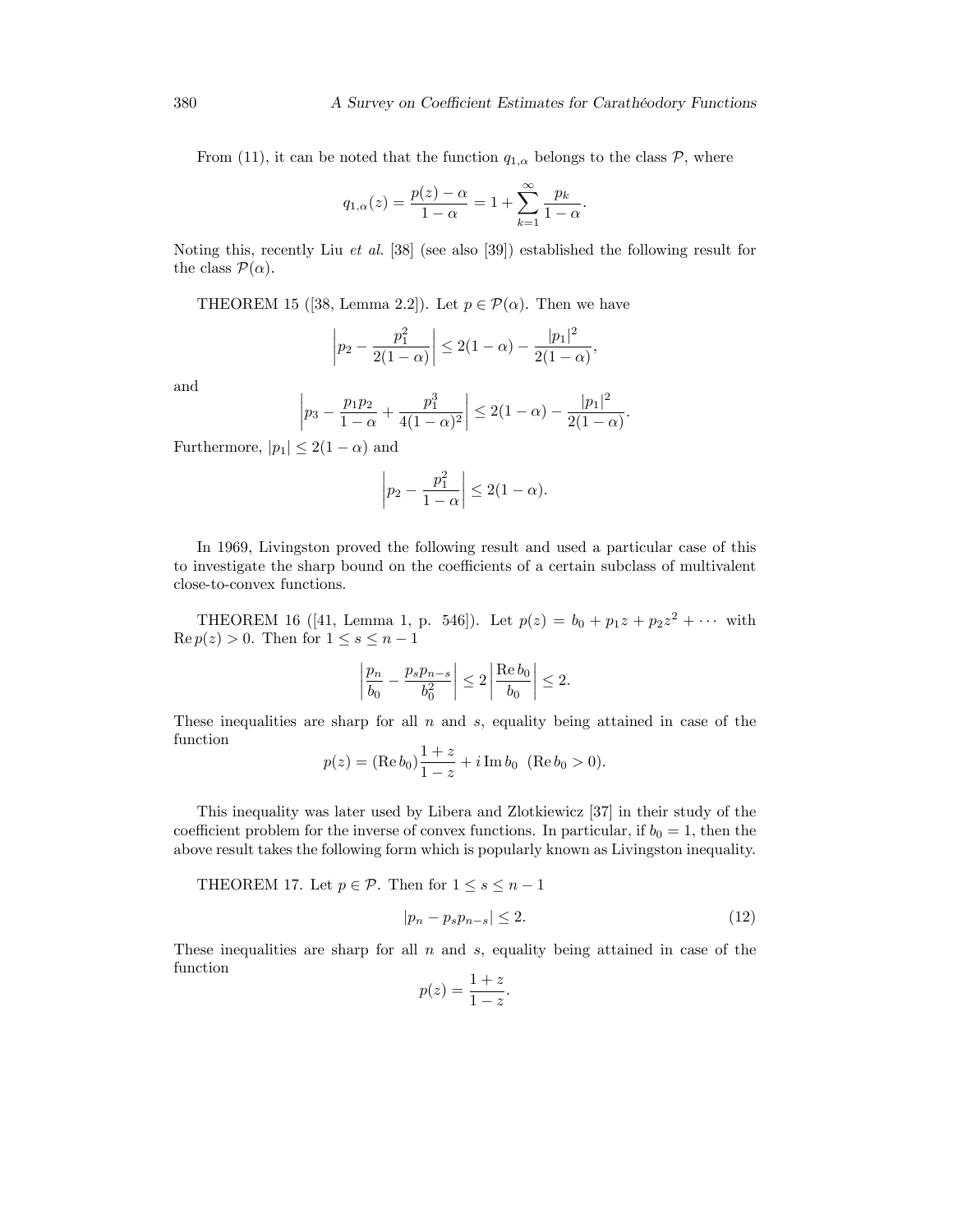From (11), it can be noted that the function  $q_{1,\alpha}$  belongs to the class  $\mathcal{P}$ , where

$$
q_{1,\alpha}(z) = \frac{p(z) - \alpha}{1 - \alpha} = 1 + \sum_{k=1}^{\infty} \frac{p_k}{1 - \alpha}.
$$

Noting this, recently Liu et al. [38] (see also [39]) established the following result for the class  $\mathcal{P}(\alpha)$ .

THEOREM 15 ([38, Lemma 2.2]). Let  $p \in \mathcal{P}(\alpha)$ . Then we have

$$
\left| p_2 - \frac{p_1^2}{2(1-\alpha)} \right| \le 2(1-\alpha) - \frac{|p_1|^2}{2(1-\alpha)},
$$

and

$$
\left| p_3 - \frac{p_1 p_2}{1 - \alpha} + \frac{p_1^3}{4(1 - \alpha)^2} \right| \le 2(1 - \alpha) - \frac{|p_1|^2}{2(1 - \alpha)}.
$$

Furthermore,  $|p_1| \leq 2(1 - \alpha)$  and

$$
\left| p_2 - \frac{p_1^2}{1 - \alpha} \right| \le 2(1 - \alpha).
$$

In 1969, Livingston proved the following result and used a particular case of this to investigate the sharp bound on the coefficients of a certain subclass of multivalent close-to-convex functions.

THEOREM 16 ([41, Lemma 1, p. 546]). Let  $p(z) = b_0 + p_1z + p_2z^2 + \cdots$  with  $\operatorname{Re} p(z) > 0$ . Then for  $1 \leq s \leq n - 1$ 

$$
\left|\frac{p_n}{b_0} - \frac{p_s p_{n-s}}{b_0^2}\right| \le 2 \left|\frac{\text{Re } b_0}{b_0}\right| \le 2.
$$

These inequalities are sharp for all  $n$  and  $s$ , equality being attained in case of the function

$$
p(z) = (\text{Re } b_0) \frac{1+z}{1-z} + i \text{Im } b_0 \ (\text{Re } b_0 > 0).
$$

This inequality was later used by Libera and Zlotkiewicz [37] in their study of the coefficient problem for the inverse of convex functions. In particular, if  $b_0 = 1$ , then the above result takes the following form which is popularly known as Livingston inequality.

THEOREM 17. Let  $p \in \mathcal{P}$ . Then for  $1 \leq s \leq n - 1$ 

$$
|p_n - p_s p_{n-s}| \le 2. \tag{12}
$$

These inequalities are sharp for all  $n$  and  $s$ , equality being attained in case of the function

$$
p(z) = \frac{1+z}{1-z}.
$$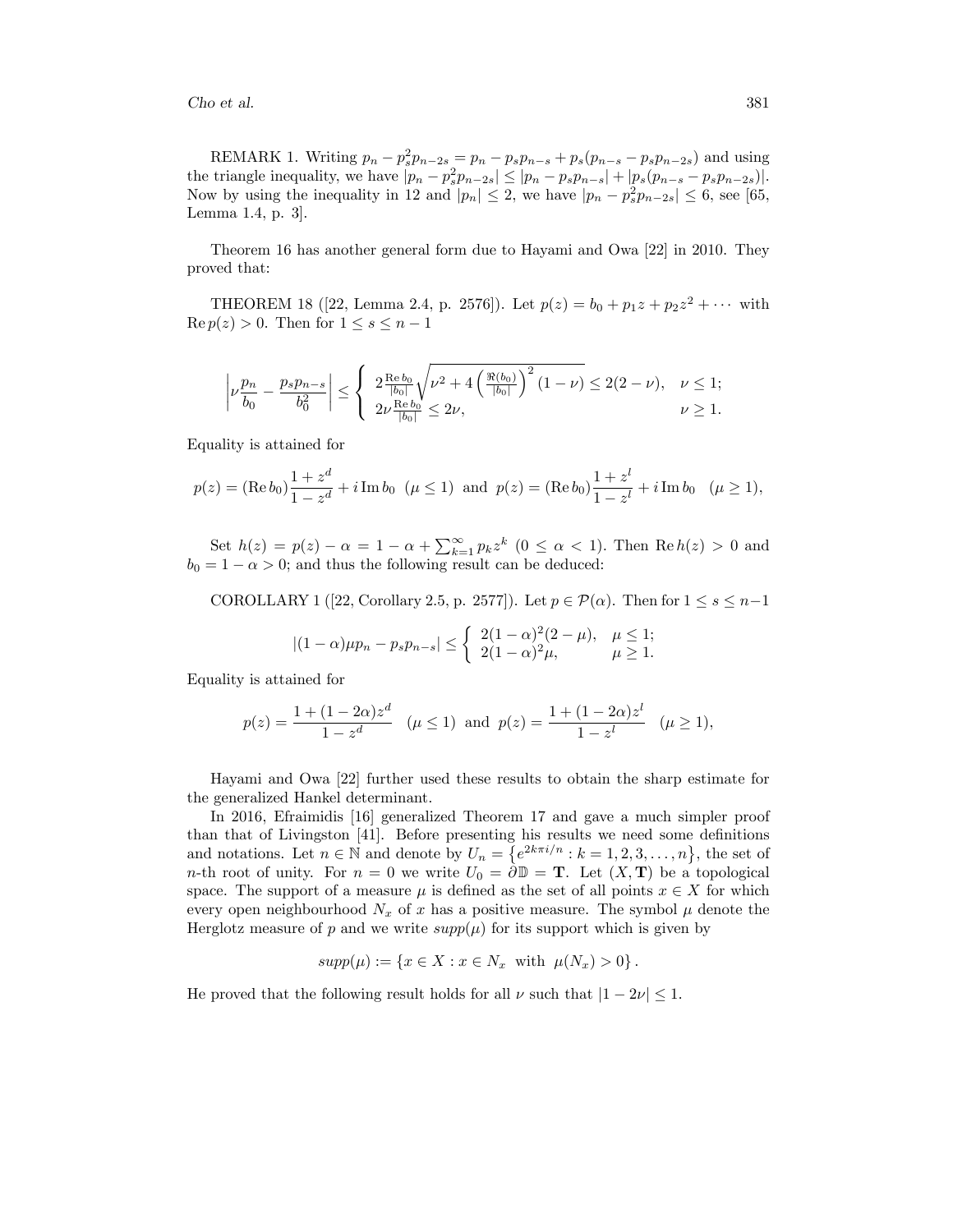REMARK 1. Writing  $p_n - p_s^2 p_{n-2s} = p_n - p_s p_{n-s} + p_s (p_{n-s} - p_s p_{n-2s})$  and using the triangle inequality, we have  $|p_n - p_s^2 p_{n-2s}| \leq |p_n - p_s p_{n-s}| + |p_s(p_{n-s} - p_s p_{n-2s})|$ . Now by using the inequality in 12 and  $|p_n| \leq 2$ , we have  $|p_n - p_s^2 p_{n-2s}| \leq 6$ , see [65, Lemma 1.4, p. 3].

Theorem 16 has another general form due to Hayami and Owa [22] in 2010. They proved that:

THEOREM 18 ([22, Lemma 2.4, p. 2576]). Let  $p(z) = b_0 + p_1z + p_2z^2 + \cdots$  with  $\operatorname{Re} p(z) > 0$ . Then for  $1 \leq s \leq n - 1$ 

$$
\left|\nu \frac{p_n}{b_0}-\frac{p_sp_{n-s}}{b_0^2}\right|\leq \left\{\begin{array}{l} 2\frac{\operatorname{Re}b_0}{|b_0|}\sqrt{\nu^2+4\left(\frac{\Re(b_0)}{|b_0|}\right)^2(1-\nu)}\leq 2(2-\nu), & \nu\leq 1; \\ 2\nu\frac{\operatorname{Re}b_0}{|b_0|}\leq 2\nu, & \nu\geq 1. \end{array}\right.
$$

Equality is attained for

$$
p(z) = (\text{Re } b_0) \frac{1+z^d}{1-z^d} + i \text{Im } b_0 \ (\mu \le 1) \text{ and } p(z) = (\text{Re } b_0) \frac{1+z^l}{1-z^l} + i \text{Im } b_0 \ (\mu \ge 1),
$$

Set  $h(z) = p(z) - \alpha = 1 - \alpha + \sum_{k=1}^{\infty} p_k z^k$  ( $0 \le \alpha < 1$ ). Then  $\text{Re } h(z) > 0$  and  $b_0 = 1 - \alpha > 0$ ; and thus the following result can be deduced:

COROLLARY 1 ([22, Corollary 2.5, p. 2577]). Let  $p \in \mathcal{P}(\alpha)$ . Then for  $1 \leq s \leq n-1$ 

$$
|(1-\alpha)\mu p_n - p_s p_{n-s}| \leq \begin{cases} 2(1-\alpha)^2(2-\mu), & \mu \leq 1; \\ 2(1-\alpha)^2\mu, & \mu \geq 1. \end{cases}
$$

Equality is attained for

$$
p(z) = \frac{1 + (1 - 2\alpha)z^d}{1 - z^d}
$$
  $(\mu \le 1)$  and  $p(z) = \frac{1 + (1 - 2\alpha)z^l}{1 - z^l}$   $(\mu \ge 1)$ ,

Hayami and Owa [22] further used these results to obtain the sharp estimate for the generalized Hankel determinant.

In 2016, Efraimidis [16] generalized Theorem 17 and gave a much simpler proof than that of Livingston [41]. Before presenting his results we need some definitions and notations. Let  $n \in \mathbb{N}$  and denote by  $U_n = \{e^{2k\pi i/n} : k = 1, 2, 3, \ldots, n\}$ , the set of n-th root of unity. For  $n = 0$  we write  $U_0 = \partial \mathbb{D} = \mathbb{T}$ . Let  $(X, \mathbb{T})$  be a topological space. The support of a measure  $\mu$  is defined as the set of all points  $x \in X$  for which every open neighbourhood  $N_x$  of x has a positive measure. The symbol  $\mu$  denote the Herglotz measure of p and we write  $supp(\mu)$  for its support which is given by

$$
supp(\mu) := \{ x \in X : x \in N_x \text{ with } \mu(N_x) > 0 \}.
$$

He proved that the following result holds for all  $\nu$  such that  $|1 - 2\nu| \leq 1$ .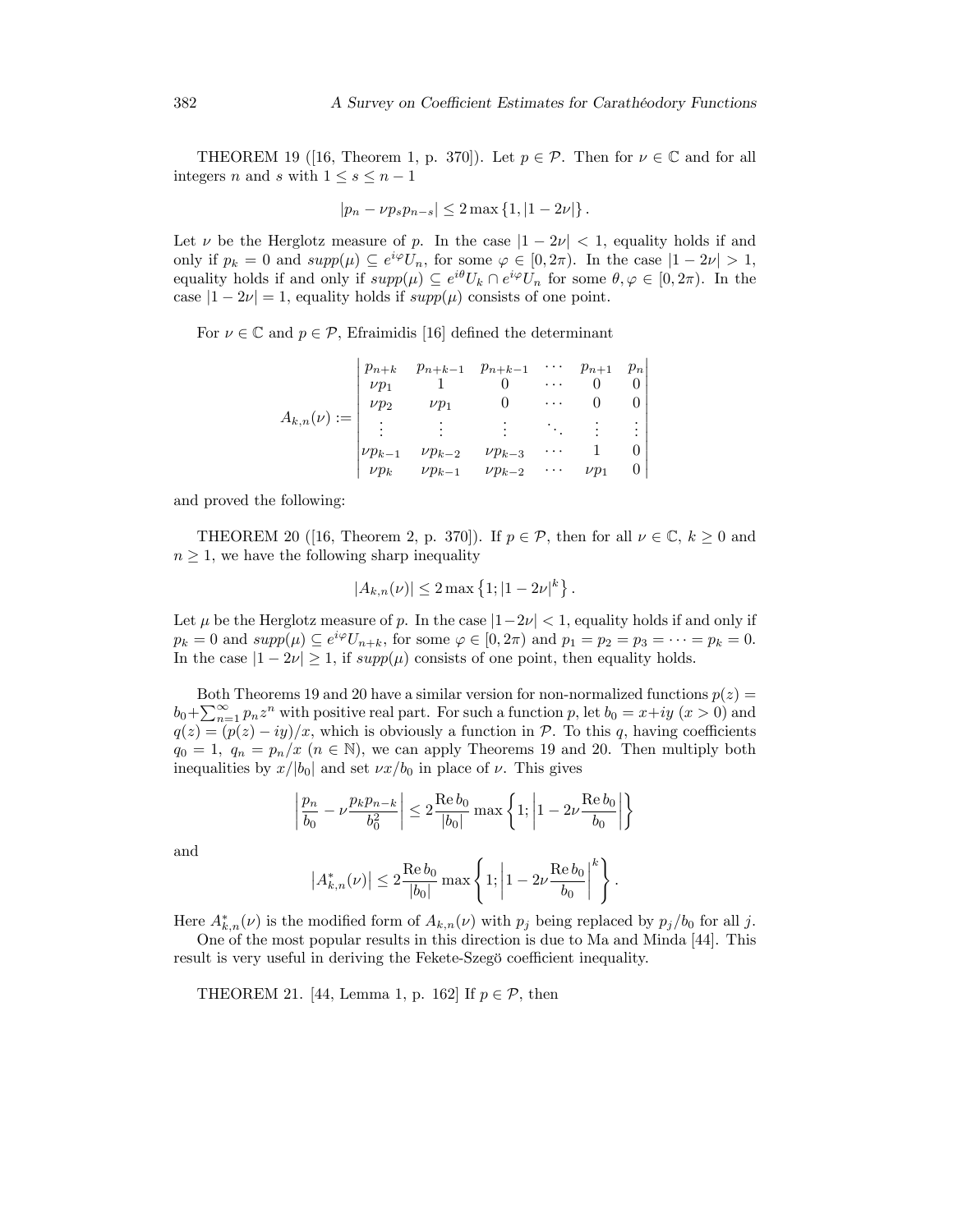THEOREM 19 ([16, Theorem 1, p. 370]). Let  $p \in \mathcal{P}$ . Then for  $\nu \in \mathbb{C}$  and for all integers *n* and *s* with  $1 \leq s \leq n - 1$ 

$$
|p_n - \nu p_s p_{n-s}| \le 2 \max \{ 1, |1 - 2\nu| \}.
$$

Let  $\nu$  be the Herglotz measure of p. In the case  $|1 - 2\nu| < 1$ , equality holds if and only if  $p_k = 0$  and  $supp(\mu) \subseteq e^{i\varphi}U_n$ , for some  $\varphi \in [0, 2\pi)$ . In the case  $|1 - 2\nu| > 1$ , equality holds if and only if  $supp(\mu) \subseteq e^{i\theta}U_k \cap e^{i\varphi}U_n$  for some  $\theta, \varphi \in [0, 2\pi)$ . In the case  $|1 - 2\nu| = 1$ , equality holds if  $supp(\mu)$  consists of one point.

For  $\nu \in \mathbb{C}$  and  $p \in \mathcal{P}$ , Efraimidis [16] defined the determinant

| $A_{k,n}(\nu) := \begin{vmatrix} \nu p_2 & \nu_1 \ \vdots & \nu_n \end{vmatrix}$ | $\nu p_1$ | $\begin{vmatrix} p_{n+k} & p_{n+k-1} & p_{n+k-1} & \cdots & p_{n+1} & p_n \\ \nu p_1 & 1 & 0 & \cdots & 0 & 0 \end{vmatrix}$<br>$\begin{array}{c} 0 \end{array}$ |          |           |  |
|----------------------------------------------------------------------------------|-----------|------------------------------------------------------------------------------------------------------------------------------------------------------------------|----------|-----------|--|
|                                                                                  |           |                                                                                                                                                                  |          |           |  |
|                                                                                  |           |                                                                                                                                                                  | $\cdots$ |           |  |
|                                                                                  |           | $\begin{vmatrix} \nu p_{k-1} & \nu p_{k-2} & \nu p_{k-3} \\ \nu p_k & \nu p_{k-1} & \nu p_{k-2} \end{vmatrix}$                                                   | $\ldots$ | $\nu p_1$ |  |

and proved the following:

THEOREM 20 ([16, Theorem 2, p. 370]). If  $p \in \mathcal{P}$ , then for all  $\nu \in \mathbb{C}$ ,  $k \geq 0$  and  $n \geq 1$ , we have the following sharp inequality

$$
|A_{k,n}(\nu)| \le 2 \max \left\{ 1; |1 - 2\nu|^k \right\}.
$$

Let  $\mu$  be the Herglotz measure of p. In the case  $|1-2\nu| < 1$ , equality holds if and only if  $p_k = 0$  and  $supp(\mu) \subseteq e^{i\varphi} U_{n+k}$ , for some  $\varphi \in [0, 2\pi)$  and  $p_1 = p_2 = p_3 = \cdots = p_k = 0$ . In the case  $|1 - 2\nu| \ge 1$ , if  $supp(\mu)$  consists of one point, then equality holds.

Both Theorems 19 and 20 have a similar version for non-normalized functions  $p(z)$  =  $b_0 + \sum_{n=1}^{\infty} p_n z^n$  with positive real part. For such a function p, let  $b_0 = x + iy$   $(x > 0)$  and  $q(z) = (p(z) - iy)/x$ , which is obviously a function in  $P$ . To this q, having coefficients  $q_0 = 1, q_n = p_n/x \ (n \in \mathbb{N})$ , we can apply Theorems 19 and 20. Then multiply both inequalities by  $x/|b_0|$  and set  $\nu x/b_0$  in place of  $\nu$ . This gives

$$
\left|\frac{p_n}{b_0}-\nu\frac{p_kp_{n-k}}{b_0^2}\right|\leq 2\frac{\operatorname{Re}b_0}{|b_0|}\max\left\{1;\left|1-2\nu\frac{\operatorname{Re}b_0}{b_0}\right|\right\}
$$

and

$$
|A_{k,n}^*(\nu)| \le 2 \frac{\text{Re } b_0}{|b_0|} \max \left\{ 1; \left| 1 - 2\nu \frac{\text{Re } b_0}{b_0} \right|^k \right\}.
$$

Here  $A_{k,n}^*(\nu)$  is the modified form of  $A_{k,n}(\nu)$  with  $p_j$  being replaced by  $p_j/b_0$  for all j.

One of the most popular results in this direction is due to Ma and Minda [44]. This result is very useful in deriving the Fekete-Szegö coefficient inequality.

THEOREM 21. [44, Lemma 1, p. 162] If  $p \in \mathcal{P}$ , then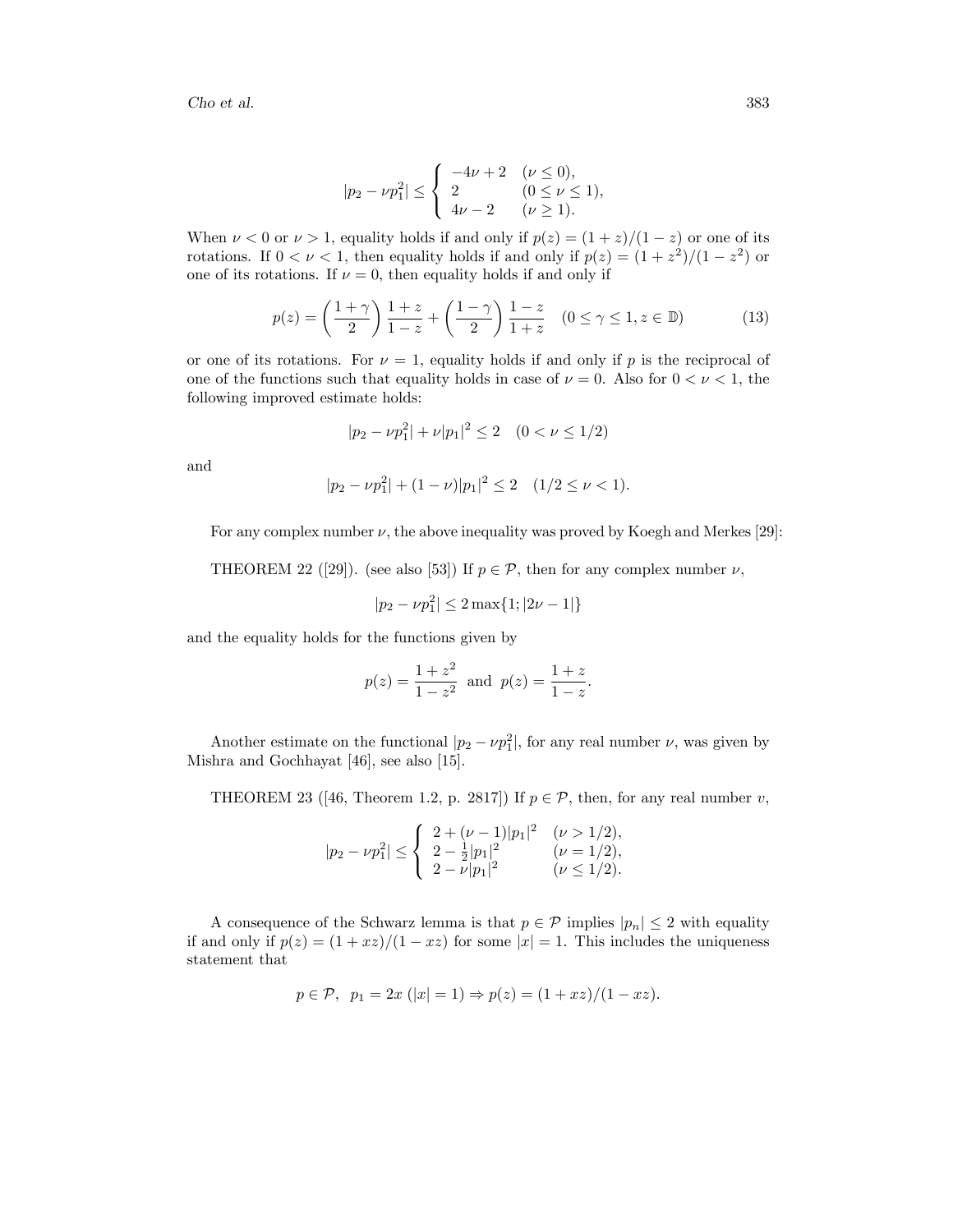$$
|p_2 - \nu p_1^2| \le \begin{cases} -4\nu + 2 & (\nu \le 0), \\ 2 & (0 \le \nu \le 1), \\ 4\nu - 2 & (\nu \ge 1). \end{cases}
$$

When  $\nu < 0$  or  $\nu > 1$ , equality holds if and only if  $p(z) = (1 + z)/(1 - z)$  or one of its rotations. If  $0 < \nu < 1$ , then equality holds if and only if  $p(z) = (1 + z^2)/(1 - z^2)$  or one of its rotations. If  $\nu = 0$ , then equality holds if and only if

$$
p(z) = \left(\frac{1+\gamma}{2}\right)\frac{1+z}{1-z} + \left(\frac{1-\gamma}{2}\right)\frac{1-z}{1+z} \quad (0 \le \gamma \le 1, z \in \mathbb{D})\tag{13}
$$

or one of its rotations. For  $\nu = 1$ , equality holds if and only if p is the reciprocal of one of the functions such that equality holds in case of  $\nu = 0$ . Also for  $0 < \nu < 1$ , the following improved estimate holds:

$$
|p_2 - \nu p_1^2| + \nu |p_1|^2 \le 2 \quad (0 < \nu \le 1/2)
$$

and

$$
|p_2 - \nu p_1^2| + (1 - \nu)|p_1|^2 \le 2 \quad (1/2 \le \nu < 1).
$$

For any complex number  $\nu$ , the above inequality was proved by Koegh and Merkes [29]:

THEOREM 22 ([29]). (see also [53]) If  $p \in \mathcal{P}$ , then for any complex number  $\nu$ ,

$$
|p_2 - \nu p_1^2| \le 2 \max\{1; |2\nu - 1|\}
$$

and the equality holds for the functions given by

$$
p(z) = \frac{1+z^2}{1-z^2}
$$
 and  $p(z) = \frac{1+z}{1-z}$ .

Another estimate on the functional  $|p_2 - \nu p_1^2|$ , for any real number  $\nu$ , was given by Mishra and Gochhayat [46], see also [15].

THEOREM 23 ([46, Theorem 1.2, p. 2817]) If  $p \in \mathcal{P}$ , then, for any real number v,

$$
|p_2 - \nu p_1^2| \le \begin{cases} 2 + (\nu - 1)|p_1|^2 & (\nu > 1/2), \\ 2 - \frac{1}{2}|p_1|^2 & (\nu = 1/2), \\ 2 - \nu |p_1|^2 & (\nu \le 1/2). \end{cases}
$$

A consequence of the Schwarz lemma is that  $p \in \mathcal{P}$  implies  $|p_n| \leq 2$  with equality if and only if  $p(z) = (1 + xz)/(1 - xz)$  for some  $|x| = 1$ . This includes the uniqueness statement that

$$
p \in \mathcal{P}
$$
,  $p_1 = 2x (|x| = 1) \Rightarrow p(z) = (1 + xz)/(1 - xz)$ .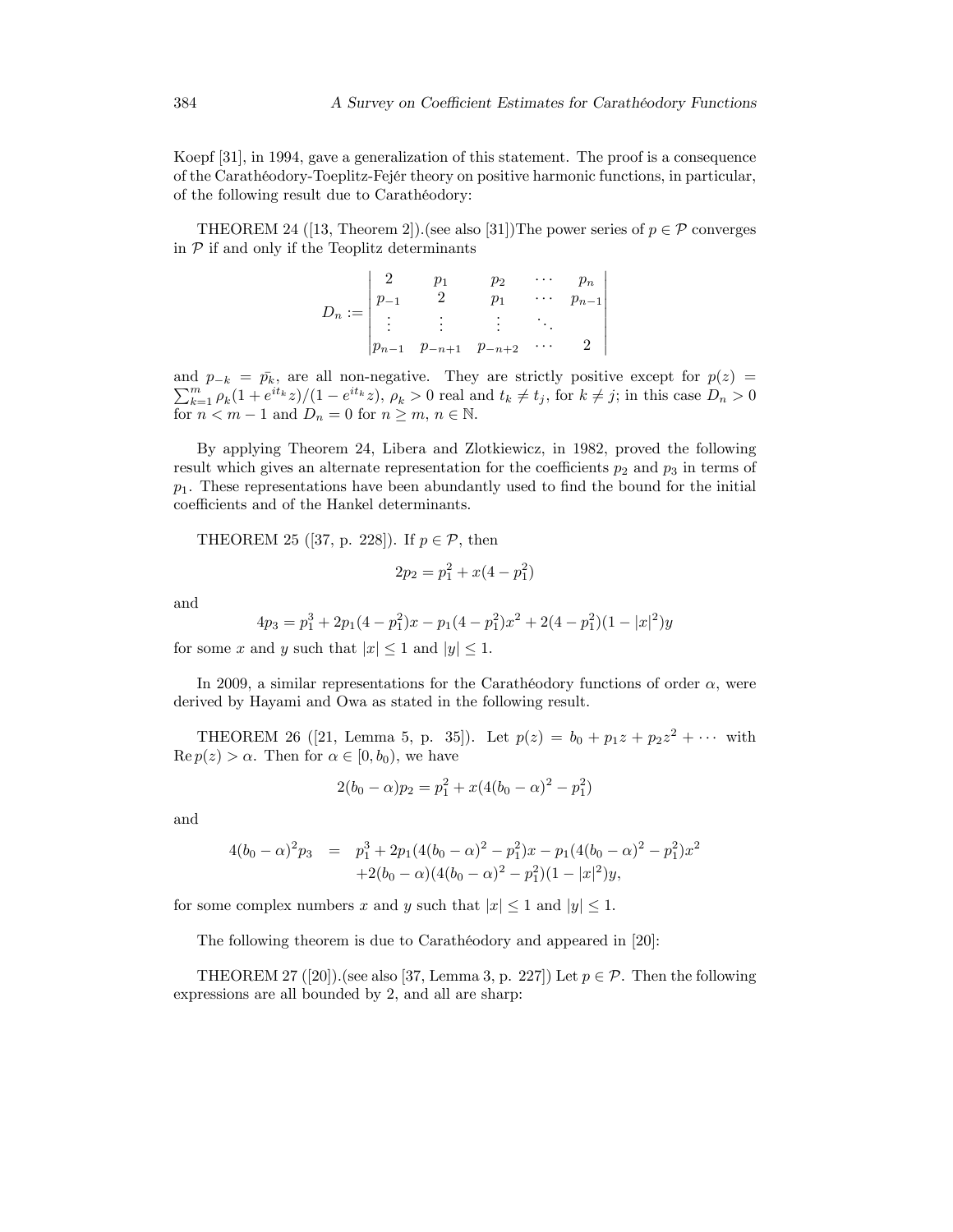Koepf [31], in 1994, gave a generalization of this statement. The proof is a consequence of the Carathéodory-Toeplitz-Fejér theory on positive harmonic functions, in particular, of the following result due to Carathéodory:

THEOREM 24 ([13, Theorem 2]). (see also [31]) The power series of  $p \in \mathcal{P}$  converges in  $P$  if and only if the Teoplitz determinants

$$
D_n := \begin{vmatrix} 2 & p_1 & p_2 & \cdots & p_n \\ p_{-1} & 2 & p_1 & \cdots & p_{n-1} \\ \vdots & \vdots & \vdots & \ddots & \vdots \\ p_{n-1} & p_{-n+1} & p_{-n+2} & \cdots & 2 \end{vmatrix}
$$

and  $p_{-k} = \bar{p}_k$ , are all non-negative. They are strictly positive except for  $p(z) = \sum_{k=0}^{n} p_k$  $\sum_{k=1}^{m} \rho_k(1+e^{it_k}z)/(1-e^{it_k}z)$ ,  $\rho_k > 0$  real and  $t_k \neq t_j$ , for  $k \neq j$ ; in this case  $D_n > 0$ for  $n < m - 1$  and  $D_n = 0$  for  $n \ge m$ ,  $n \in \mathbb{N}$ .

By applying Theorem 24, Libera and Zlotkiewicz, in 1982, proved the following result which gives an alternate representation for the coefficients  $p_2$  and  $p_3$  in terms of  $p_1$ . These representations have been abundantly used to find the bound for the initial coefficients and of the Hankel determinants.

THEOREM 25 ([37, p. 228]). If  $p \in \mathcal{P}$ , then

$$
2p_2 = p_1^2 + x(4 - p_1^2)
$$

and

$$
4p_3 = p_1^3 + 2p_1(4 - p_1^2)x - p_1(4 - p_1^2)x^2 + 2(4 - p_1^2)(1 - |x|^2)y
$$

for some x and y such that  $|x| \leq 1$  and  $|y| \leq 1$ .

In 2009, a similar representations for the Carathéodory functions of order  $\alpha$ , were derived by Hayami and Owa as stated in the following result.

THEOREM 26 ([21, Lemma 5, p. 35]). Let  $p(z) = b_0 + p_1z + p_2z^2 + \cdots$  with  $\text{Re } p(z) > \alpha$ . Then for  $\alpha \in [0, b_0)$ , we have

$$
2(b_0 - \alpha)p_2 = p_1^2 + x(4(b_0 - \alpha)^2 - p_1^2)
$$

and

$$
4(b_0 - \alpha)^2 p_3 = p_1^3 + 2p_1(4(b_0 - \alpha)^2 - p_1^2)x - p_1(4(b_0 - \alpha)^2 - p_1^2)x^2
$$
  
+2(b\_0 - \alpha)(4(b\_0 - \alpha)^2 - p\_1^2)(1 - |x|^2)y,

for some complex numbers x and y such that  $|x| \leq 1$  and  $|y| \leq 1$ .

The following theorem is due to Carathéodory and appeared in [20]:

THEOREM 27 ([20]). (see also [37, Lemma 3, p. 227]) Let  $p \in \mathcal{P}$ . Then the following expressions are all bounded by 2, and all are sharp: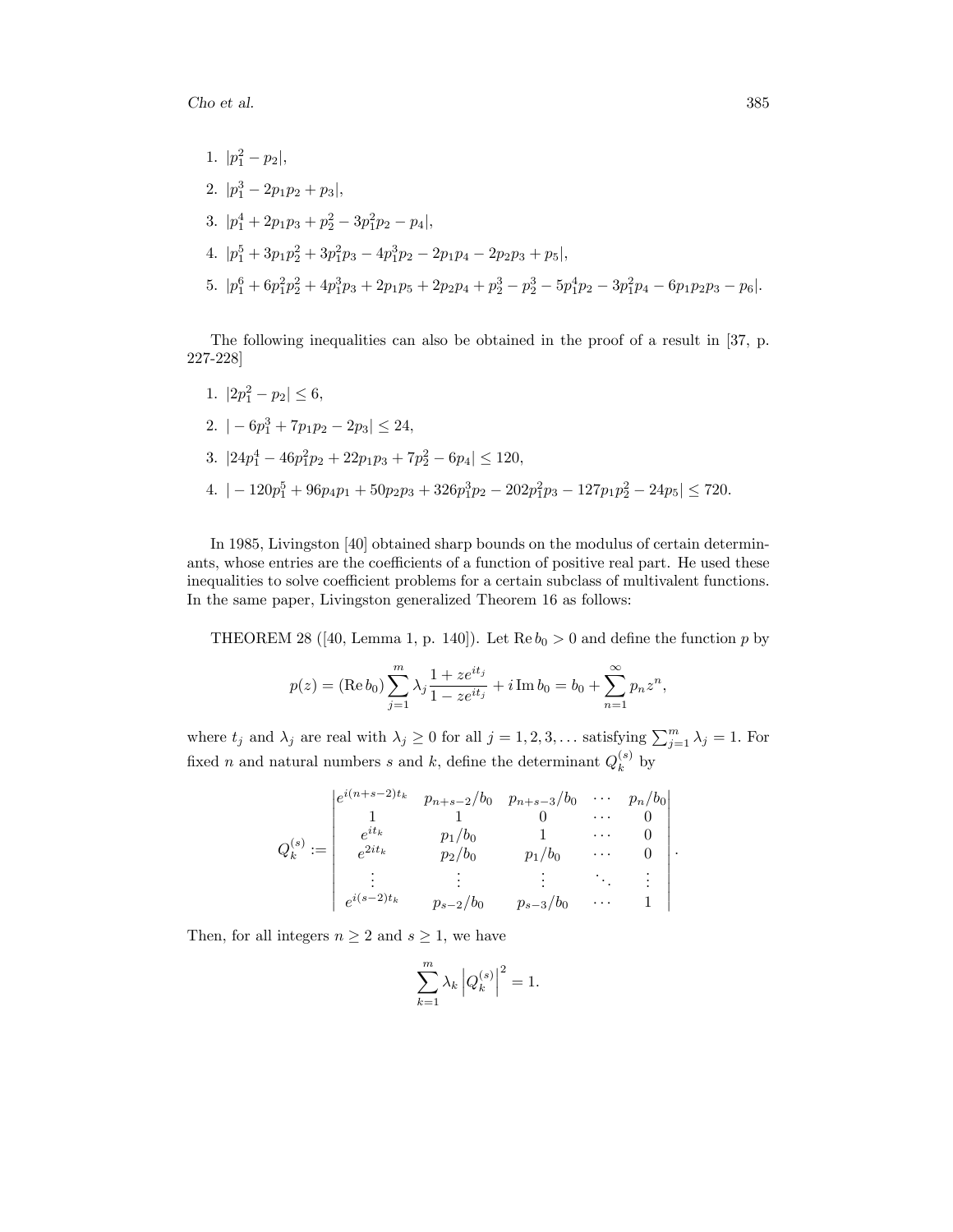1. 
$$
|p_1^2 - p_2|
$$
,  
\n2.  $|p_1^3 - 2p_1p_2 + p_3|$ ,  
\n3.  $|p_1^4 + 2p_1p_3 + p_2^2 - 3p_1^2p_2 - p_4|$ ,  
\n4.  $|p_1^5 + 3p_1p_2^2 + 3p_1^2p_3 - 4p_1^3p_2 - 2p_1p_4 - 2p_2p_3 + p_5|$ ,  
\n5.  $|p_1^6 + 6p_1^2p_2^2 + 4p_1^3p_3 + 2p_1p_5 + 2p_2p_4 + p_2^3 - p_2^3 - 5p_1^4p_2 - 3p_1^2p_4 - 6p_1p_2p_3 - p_6|$ .

The following inequalities can also be obtained in the proof of a result in [37, p. 227-228]

1. 
$$
|2p_1^2 - p_2| \le 6
$$
,  
\n2.  $|-6p_1^3 + 7p_1p_2 - 2p_3| \le 24$ ,  
\n3.  $|24p_1^4 - 46p_1^2p_2 + 22p_1p_3 + 7p_2^2 - 6p_4| \le 120$ ,  
\n4.  $|-120p_1^5 + 96p_4p_1 + 50p_2p_3 + 326p_1^3p_2 - 202p_1^2p_3 - 127p_1p_2^2 - 24p_5| \le 720$ .

In 1985, Livingston [40] obtained sharp bounds on the modulus of certain determinants, whose entries are the coefficients of a function of positive real part. He used these inequalities to solve coefficient problems for a certain subclass of multivalent functions. In the same paper, Livingston generalized Theorem 16 as follows:

THEOREM 28 ([40, Lemma 1, p. 140]). Let  $\text{Re } b_0 > 0$  and define the function p by

$$
p(z) = (\text{Re } b_0) \sum_{j=1}^{m} \lambda_j \frac{1 + ze^{it_j}}{1 - ze^{it_j}} + i \text{Im } b_0 = b_0 + \sum_{n=1}^{\infty} p_n z^n,
$$

where  $t_j$  and  $\lambda_j$  are real with  $\lambda_j \geq 0$  for all  $j = 1, 2, 3, \dots$  satisfying  $\sum_{j=1}^m \lambda_j = 1$ . For fixed *n* and natural numbers *s* and *k*, define the determinant  $Q_k^{(s)}$  $\kappa^{(s)}$  by

$$
Q_k^{(s)} := \begin{vmatrix} e^{i(n+s-2)t_k} & p_{n+s-2}/b_0 & p_{n+s-3}/b_0 & \cdots & p_n/b_0 \\ 1 & 1 & 0 & \cdots & 0 \\ e^{it_k} & p_1/b_0 & 1 & \cdots & 0 \\ e^{2it_k} & p_2/b_0 & p_1/b_0 & \cdots & 0 \\ \vdots & \vdots & \vdots & \ddots & \vdots \\ e^{i(s-2)t_k} & p_{s-2}/b_0 & p_{s-3}/b_0 & \cdots & 1 \end{vmatrix}
$$

:

Then, for all integers  $n \geq 2$  and  $s \geq 1$ , we have

$$
\sum_{k=1}^{m} \lambda_k \left| Q_k^{(s)} \right|^2 = 1.
$$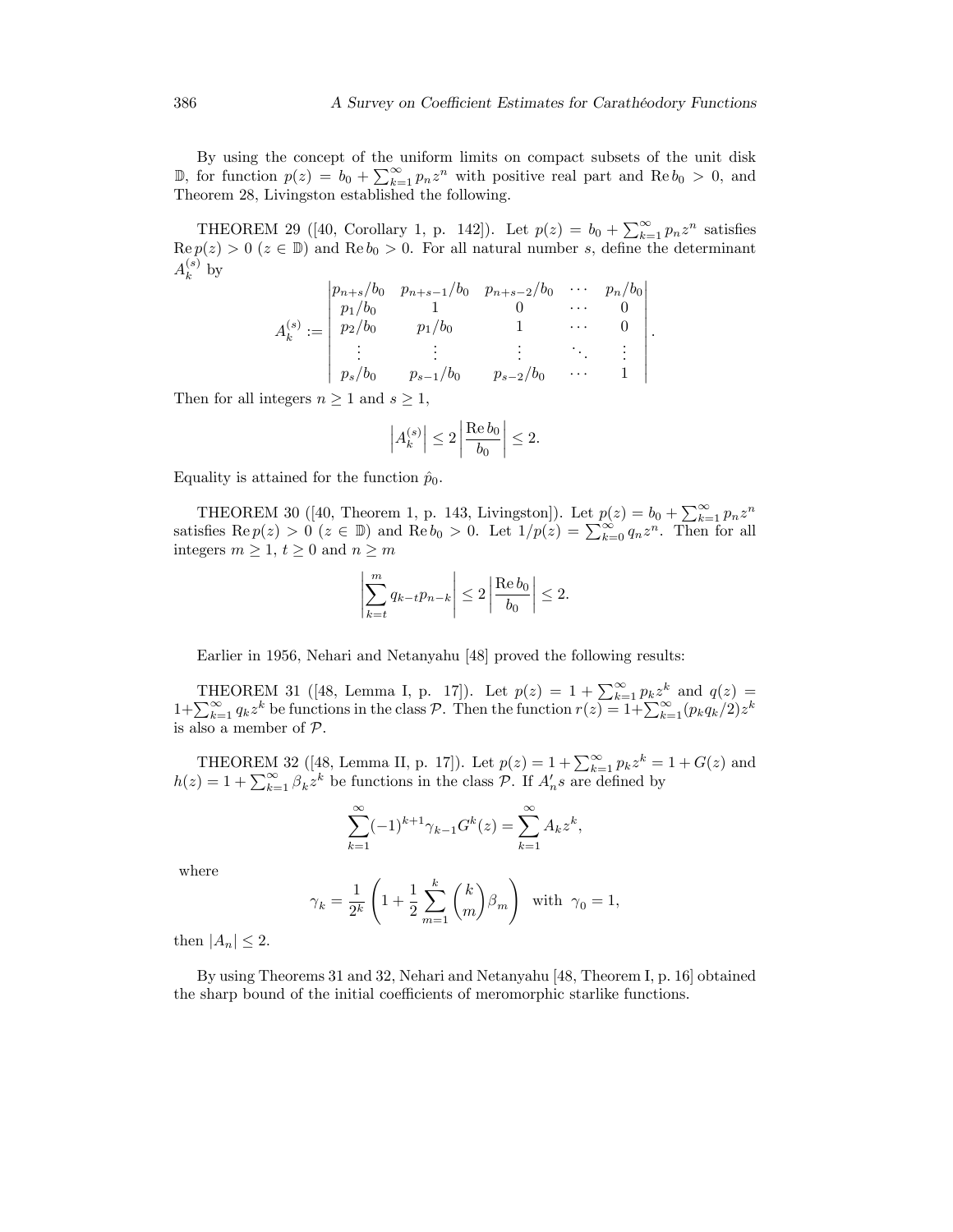:

By using the concept of the uniform limits on compact subsets of the unit disk  $\mathbb{D}$ , for function  $p(z) = b_0 + \sum_{k=1}^{\infty} p_k z^k$  with positive real part and Re  $b_0 > 0$ , and Theorem 28, Livingston established the following.

THEOREM 29 ([40, Corollary 1, p. 142]). Let  $p(z) = b_0 + \sum_{k=1}^{\infty} p_n z^n$  satisfies  $\text{Re } p(z) > 0$  ( $z \in \mathbb{D}$ ) and  $\text{Re } b_0 > 0$ . For all natural number s, define the determinant  $A_k^{(s)}$  $\kappa^{(s)}$  by

$$
A_k^{(s)} := \begin{vmatrix} p_{n+s}/b_0 & p_{n+s-1}/b_0 & p_{n+s-2}/b_0 & \cdots & p_n/b_0 \\ p_1/b_0 & 1 & 0 & \cdots & 0 \\ p_2/b_0 & p_1/b_0 & 1 & \cdots & 0 \\ \vdots & \vdots & \vdots & \ddots & \vdots \\ p_s/b_0 & p_{s-1}/b_0 & p_{s-2}/b_0 & \cdots & 1 \end{vmatrix}
$$

Then for all integers  $n \geq 1$  and  $s \geq 1$ ,

$$
\left|A_k^{(s)}\right| \le 2\left|\frac{\operatorname{Re} b_0}{b_0}\right| \le 2.
$$

Equality is attained for the function  $\hat{p}_0$ .

THEOREM 30 ([40, Theorem 1, p. 143, Livingston]). Let  $p(z) = b_0 + \sum_{k=1}^{\infty} p_k z^n$ satisfies  $\text{Re } p(z) > 0$   $(z \in \mathbb{D})$  and  $\text{Re } b_0 > 0$ . Let  $1/p(z) = \sum_{k=0}^{\infty} q_k z^n$ . Then for all integers  $m\geq 1,$   $t\geq 0$  and  $n\geq m$ 

$$
\left|\sum_{k=t}^{m} q_{k-t} p_{n-k}\right| \leq 2 \left|\frac{\operatorname{Re}b_0}{b_0}\right| \leq 2.
$$

Earlier in 1956, Nehari and Netanyahu [48] proved the following results:

THEOREM 31 ([48, Lemma I, p. 17]). Let  $p(z) = 1 + \sum_{k=1}^{\infty} p_k z^k$  and  $q(z) =$  $1+\sum_{k=1}^{\infty} q_k z^k$  be functions in the class P. Then the function  $r(z) = 1+\sum_{k=1}^{\infty} (p_k q_k/2) z^k$ is also a member of  $P$ .

THEOREM 32 ([48, Lemma II, p. 17]). Let  $p(z) = 1 + \sum_{k=1}^{\infty} p_k z^k = 1 + G(z)$  and  $h(z) = 1 + \sum_{k=1}^{\infty} \beta_k z^k$  be functions in the class  $\mathcal{P}$ . If  $A'_n s$  are defined by

$$
\sum_{k=1}^{\infty} (-1)^{k+1} \gamma_{k-1} G^{k}(z) = \sum_{k=1}^{\infty} A_{k} z^{k},
$$

where

$$
\gamma_k = \frac{1}{2^k} \left( 1 + \frac{1}{2} \sum_{m=1}^k \binom{k}{m} \beta_m \right) \text{ with } \gamma_0 = 1,
$$

then  $|A_n| \leq 2$ .

By using Theorems 31 and 32, Nehari and Netanyahu [48, Theorem I, p. 16] obtained the sharp bound of the initial coefficients of meromorphic starlike functions.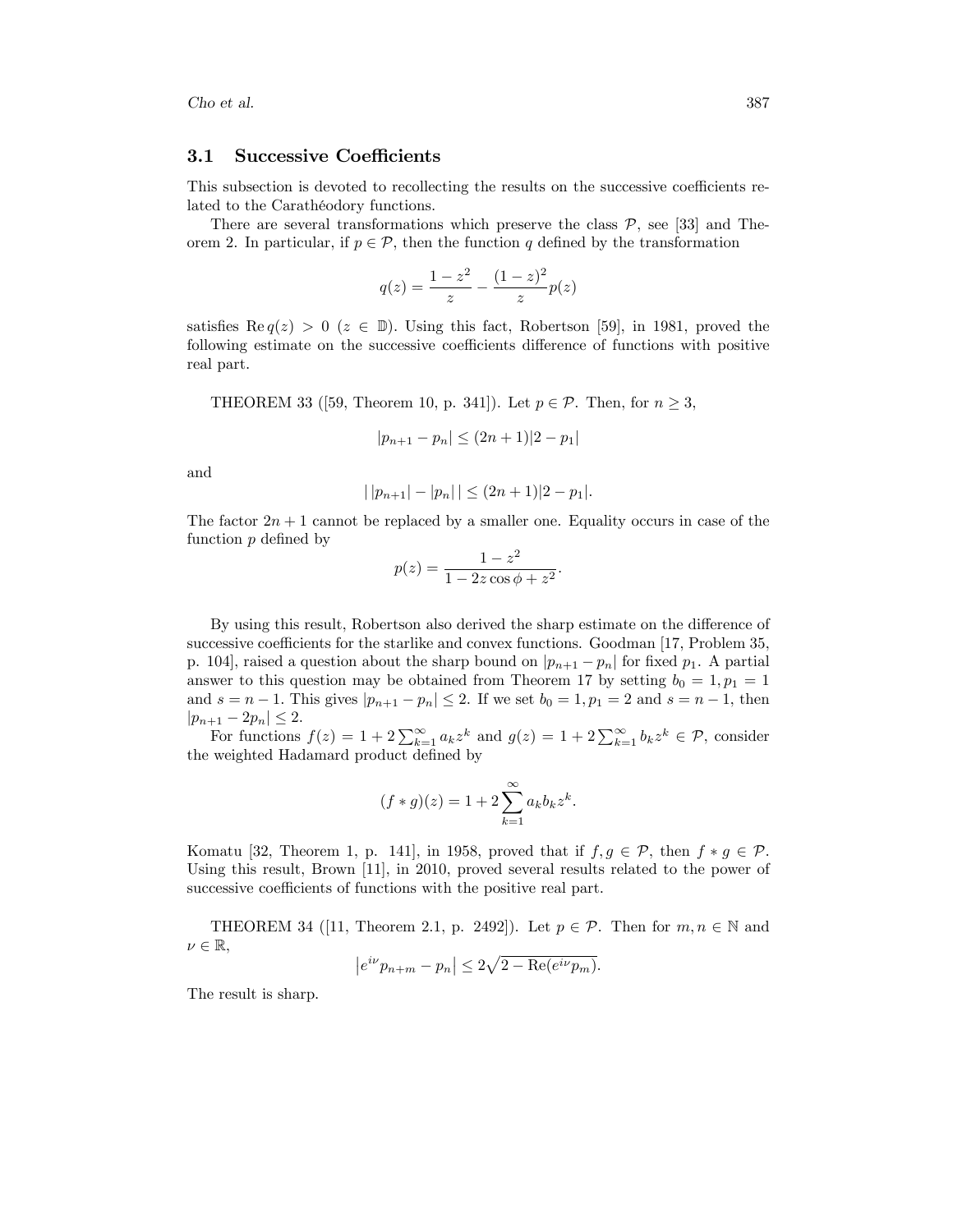#### 3.1 Successive Coefficients

This subsection is devoted to recollecting the results on the successive coefficients related to the Carathéodory functions.

There are several transformations which preserve the class  $P$ , see [33] and Theorem 2. In particular, if  $p \in \mathcal{P}$ , then the function q defined by the transformation

$$
q(z) = \frac{1 - z^2}{z} - \frac{(1 - z)^2}{z}p(z)
$$

satisfies Re $q(z) > 0$  ( $z \in \mathbb{D}$ ). Using this fact, Robertson [59], in 1981, proved the following estimate on the successive coefficients difference of functions with positive real part.

THEOREM 33 ([59, Theorem 10, p. 341]). Let  $p \in \mathcal{P}$ . Then, for  $n \geq 3$ ,

$$
|p_{n+1} - p_n| \le (2n+1)|2 - p_1|
$$

and

$$
| |p_{n+1}| - |p_n| | \le (2n+1)|2 - p_1|.
$$

The factor  $2n + 1$  cannot be replaced by a smaller one. Equality occurs in case of the function  $p$  defined by

$$
p(z) = \frac{1 - z^2}{1 - 2z \cos \phi + z^2}.
$$

By using this result, Robertson also derived the sharp estimate on the difference of successive coefficients for the starlike and convex functions. Goodman  $[17,$  Problem 35, p. 104], raised a question about the sharp bound on  $|p_{n+1} - p_n|$  for fixed  $p_1$ . A partial answer to this question may be obtained from Theorem 17 by setting  $b_0 = 1, p_1 = 1$ and  $s = n - 1$ . This gives  $|p_{n+1} - p_n| \leq 2$ . If we set  $b_0 = 1, p_1 = 2$  and  $s = n - 1$ , then  $|p_{n+1} - 2p_n| \leq 2.$ 

For functions  $f(z) = 1 + 2\sum_{k=1}^{\infty} a_k z^k$  and  $g(z) = 1 + 2\sum_{k=1}^{\infty} b_k z^k \in \mathcal{P}$ , consider the weighted Hadamard product defined by

$$
(f * g)(z) = 1 + 2 \sum_{k=1}^{\infty} a_k b_k z^k.
$$

Komatu [32, Theorem 1, p. 141], in 1958, proved that if  $f, g \in \mathcal{P}$ , then  $f * g \in \mathcal{P}$ . Using this result, Brown [11], in 2010, proved several results related to the power of successive coefficients of functions with the positive real part.

THEOREM 34 ([11, Theorem 2.1, p. 2492]). Let  $p \in \mathcal{P}$ . Then for  $m, n \in \mathbb{N}$  and  $\nu \in \mathbb{R},$ 

$$
\left|e^{i\nu}p_{n+m} - p_n\right| \le 2\sqrt{2 - \text{Re}(e^{i\nu}p_m)}.
$$

The result is sharp.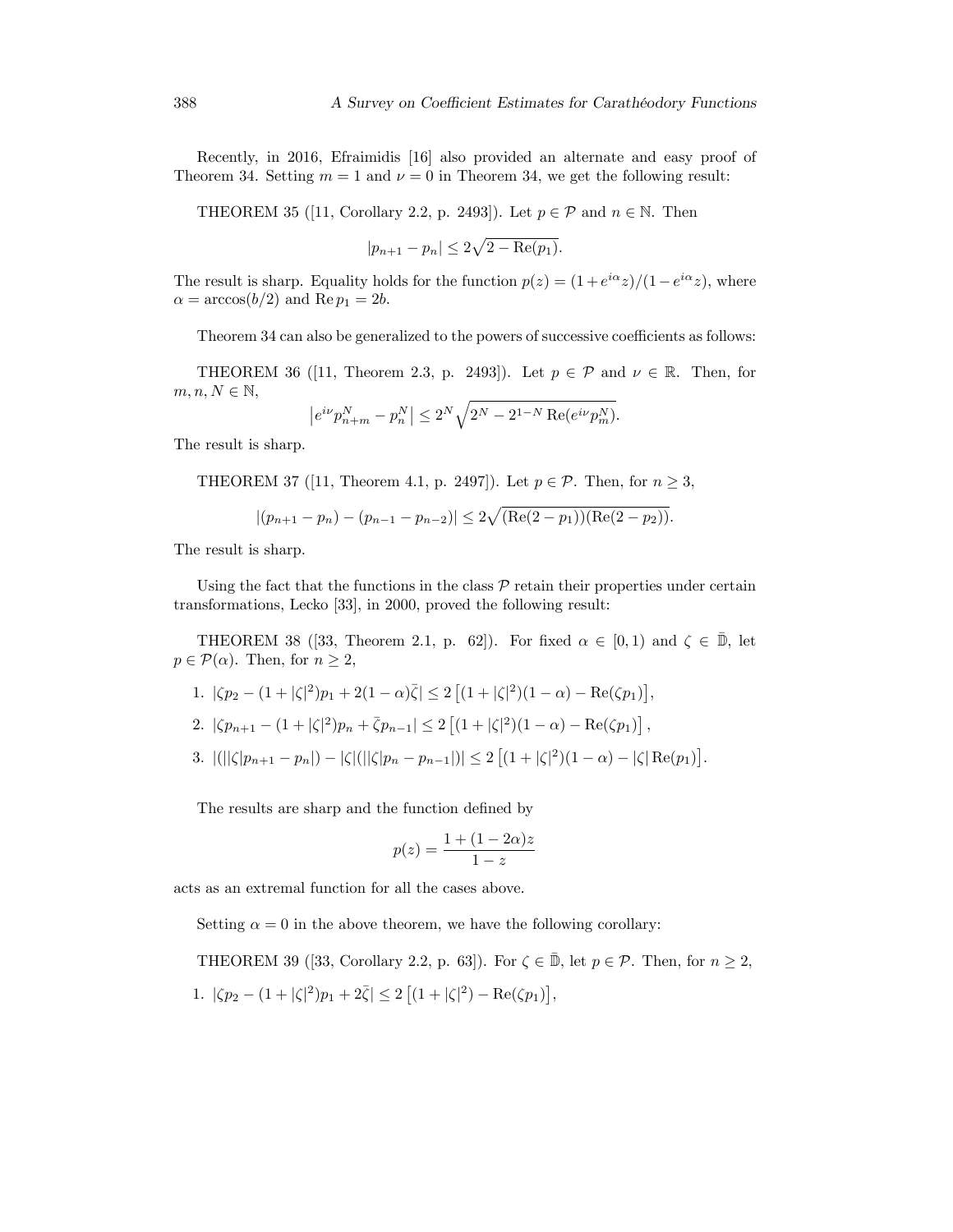Recently, in 2016, Efraimidis [16] also provided an alternate and easy proof of Theorem 34. Setting  $m = 1$  and  $\nu = 0$  in Theorem 34, we get the following result:

THEOREM 35 ([11, Corollary 2.2, p. 2493]). Let  $p \in \mathcal{P}$  and  $n \in \mathbb{N}$ . Then

$$
|p_{n+1} - p_n| \le 2\sqrt{2 - \text{Re}(p_1)}.
$$

The result is sharp. Equality holds for the function  $p(z) = (1 + e^{i\alpha}z)/(1 - e^{i\alpha}z)$ , where  $\alpha = \arccos(b/2)$  and Re  $p_1 = 2b$ .

Theorem 34 can also be generalized to the powers of successive coefficients as follows:

THEOREM 36 ([11, Theorem 2.3, p. 2493]). Let  $p \in \mathcal{P}$  and  $\nu \in \mathbb{R}$ . Then, for  $m, n, N \in \mathbb{N}$ ,

$$
\left| e^{i\nu} p_{n+m}^N - p_n^N \right| \le 2^N \sqrt{2^N - 2^{1-N} \operatorname{Re}(e^{i\nu} p_m^N)}.
$$

The result is sharp.

THEOREM 37 ([11, Theorem 4.1, p. 2497]). Let  $p \in \mathcal{P}$ . Then, for  $n \geq 3$ ,

$$
|(p_{n+1}-p_n)-(p_{n-1}-p_{n-2})| \leq 2\sqrt{(\text{Re}(2-p_1))(\text{Re}(2-p_2))}.
$$

The result is sharp.

Using the fact that the functions in the class  $\mathcal P$  retain their properties under certain transformations, Lecko [33], in 2000, proved the following result:

THEOREM 38 ([33, Theorem 2.1, p. 62]). For fixed  $\alpha \in [0,1)$  and  $\zeta \in \overline{\mathbb{D}}$ , let  $p \in \mathcal{P}(\alpha)$ . Then, for  $n \geq 2$ ,

1. 
$$
|\zeta p_2 - (1 + |\zeta|^2)p_1 + 2(1 - \alpha)\overline{\zeta}| \le 2 [(1 + |\zeta|^2)(1 - \alpha) - \text{Re}(\zeta p_1)],
$$

2.  $|\zeta p_{n+1} - (1 + |\zeta|^2)p_n + \bar{\zeta}p_{n-1}| \leq 2 [(1 + |\zeta|^2)(1 - \alpha) - \text{Re}(\zeta p_1)],$ 

3. 
$$
|(||\zeta|p_{n+1}-p_n|)-|\zeta|(||\zeta|p_n-p_{n-1}|)| \leq 2\left[(1+|\zeta|^2)(1-\alpha)-|\zeta|\operatorname{Re}(p_1)\right].
$$

The results are sharp and the function defined by

$$
p(z) = \frac{1 + (1 - 2\alpha)z}{1 - z}
$$

acts as an extremal function for all the cases above.

Setting  $\alpha = 0$  in the above theorem, we have the following corollary:

THEOREM 39 ([33, Corollary 2.2, p. 63]). For  $\zeta \in \overline{\mathbb{D}}$ , let  $p \in \mathcal{P}$ . Then, for  $n \geq 2$ , 1.  $|\zeta p_2 - (1 + |\zeta|^2)p_1 + 2\bar{\zeta}| \leq 2 [(1 + |\zeta|^2) - \text{Re}(\zeta p_1)],$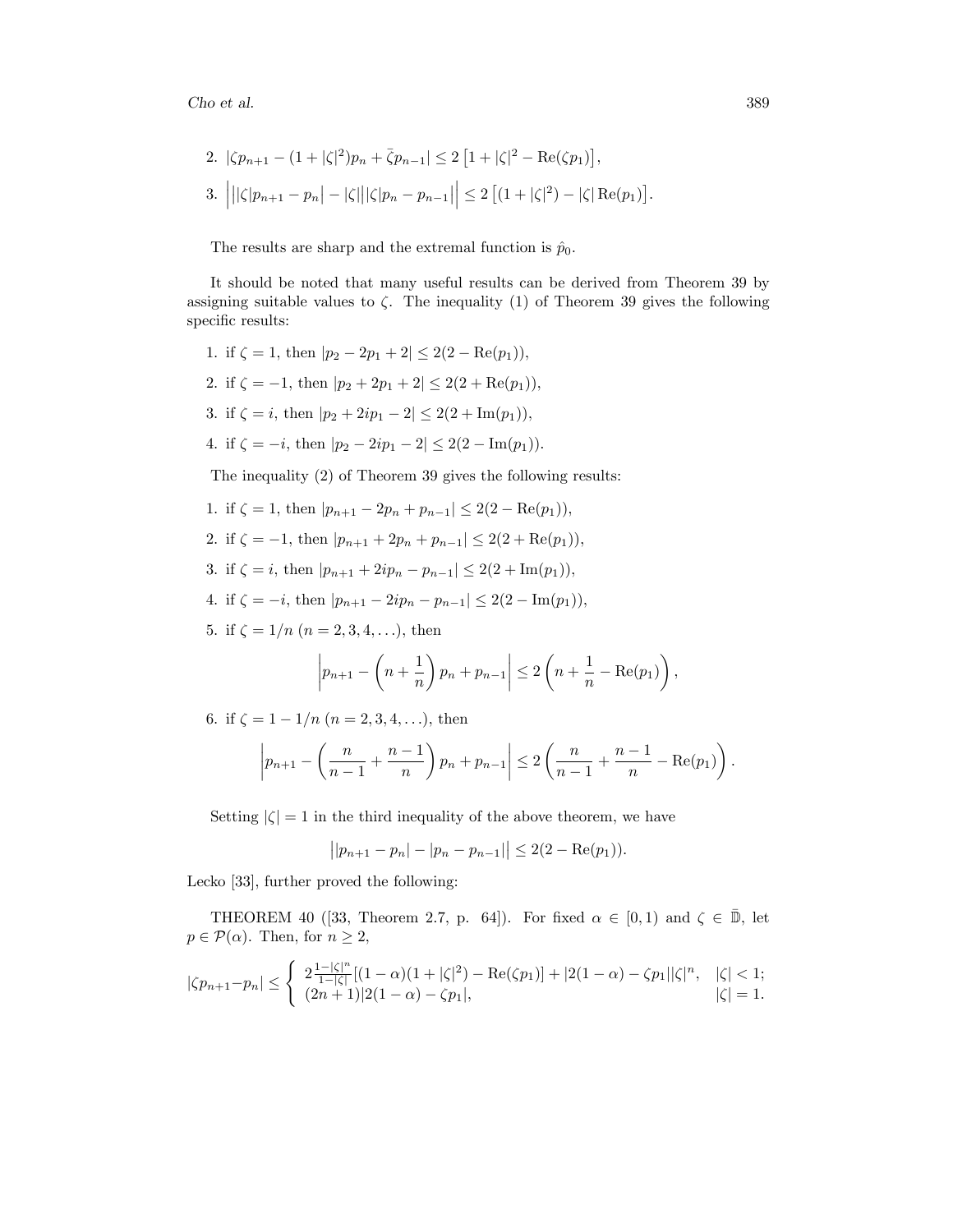2. 
$$
|\zeta p_{n+1} - (1 + |\zeta|^2)p_n + \bar{\zeta}p_{n-1}| \le 2 [1 + |\zeta|^2 - \text{Re}(\zeta p_1)],
$$
  
3.  $|||\zeta|p_{n+1} - p_n| - |\zeta|||\zeta|p_n - p_{n-1}|| \le 2 [(1 + |\zeta|^2) - |\zeta| \text{Re}(p_1)].$ 

The results are sharp and the extremal function is  $\hat{p}_0$ .

It should be noted that many useful results can be derived from Theorem 39 by assigning suitable values to  $\zeta$ . The inequality (1) of Theorem 39 gives the following specific results:

1. if 
$$
\zeta = 1
$$
, then  $|p_2 - 2p_1 + 2| \le 2(2 - \text{Re}(p_1)),$   
\n2. if  $\zeta = -1$ , then  $|p_2 + 2p_1 + 2| \le 2(2 + \text{Re}(p_1)),$   
\n3. if  $\zeta = i$ , then  $|p_2 + 2ip_1 - 2| \le 2(2 + \text{Im}(p_1)),$   
\n4. if  $\zeta = -i$ , then  $|p_2 - 2ip_1 - 2| \le 2(2 - \text{Im}(p_1)).$ 

The inequality (2) of Theorem 39 gives the following results:

- 1. if  $\zeta = 1$ , then  $|p_{n+1} 2p_n + p_{n-1}| \leq 2(2 \text{Re}(p_1)),$
- 2. if  $\zeta = -1$ , then  $|p_{n+1} + 2p_n + p_{n-1}| \leq 2(2 + \text{Re}(p_1)),$
- 3. if  $\zeta = i$ , then  $|p_{n+1} + 2ip_n p_{n-1}| \leq 2(2 + \text{Im}(p_1)),$
- 4. if  $\zeta = -i$ , then  $|p_{n+1} 2ip_n p_{n-1}| \leq 2(2 \text{Im}(p_1)),$
- 5. if  $\zeta = 1/n$   $(n = 2, 3, 4, \ldots)$ , then

$$
\left| p_{n+1} - \left( n + \frac{1}{n} \right) p_n + p_{n-1} \right| \le 2 \left( n + \frac{1}{n} - \text{Re}(p_1) \right),
$$

6. if  $\zeta = 1 - 1/n$   $(n = 2, 3, 4, \ldots)$ , then

$$
\left| p_{n+1} - \left( \frac{n}{n-1} + \frac{n-1}{n} \right) p_n + p_{n-1} \right| \le 2 \left( \frac{n}{n-1} + \frac{n-1}{n} - \text{Re}(p_1) \right).
$$

Setting  $|\zeta| = 1$  in the third inequality of the above theorem, we have

$$
||p_{n+1} - p_n| - |p_n - p_{n-1}|| \le 2(2 - \text{Re}(p_1)).
$$

Lecko [33], further proved the following:

THEOREM 40 ([33, Theorem 2.7, p. 64]). For fixed  $\alpha \in [0,1)$  and  $\zeta \in \overline{\mathbb{D}}$ , let  $p \in \mathcal{P}(\alpha)$ . Then, for  $n \geq 2$ ,

$$
|\zeta p_{n+1} - p_n| \le \begin{cases} 2\frac{1-|\zeta|^n}{1-|\zeta|} [(1-\alpha)(1+|\zeta|^2) - \text{Re}(\zeta p_1)] + |2(1-\alpha) - \zeta p_1||\zeta|^n, & |\zeta| < 1; \\ (2n+1)|2(1-\alpha) - \zeta p_1|, & |\zeta| = 1. \end{cases}
$$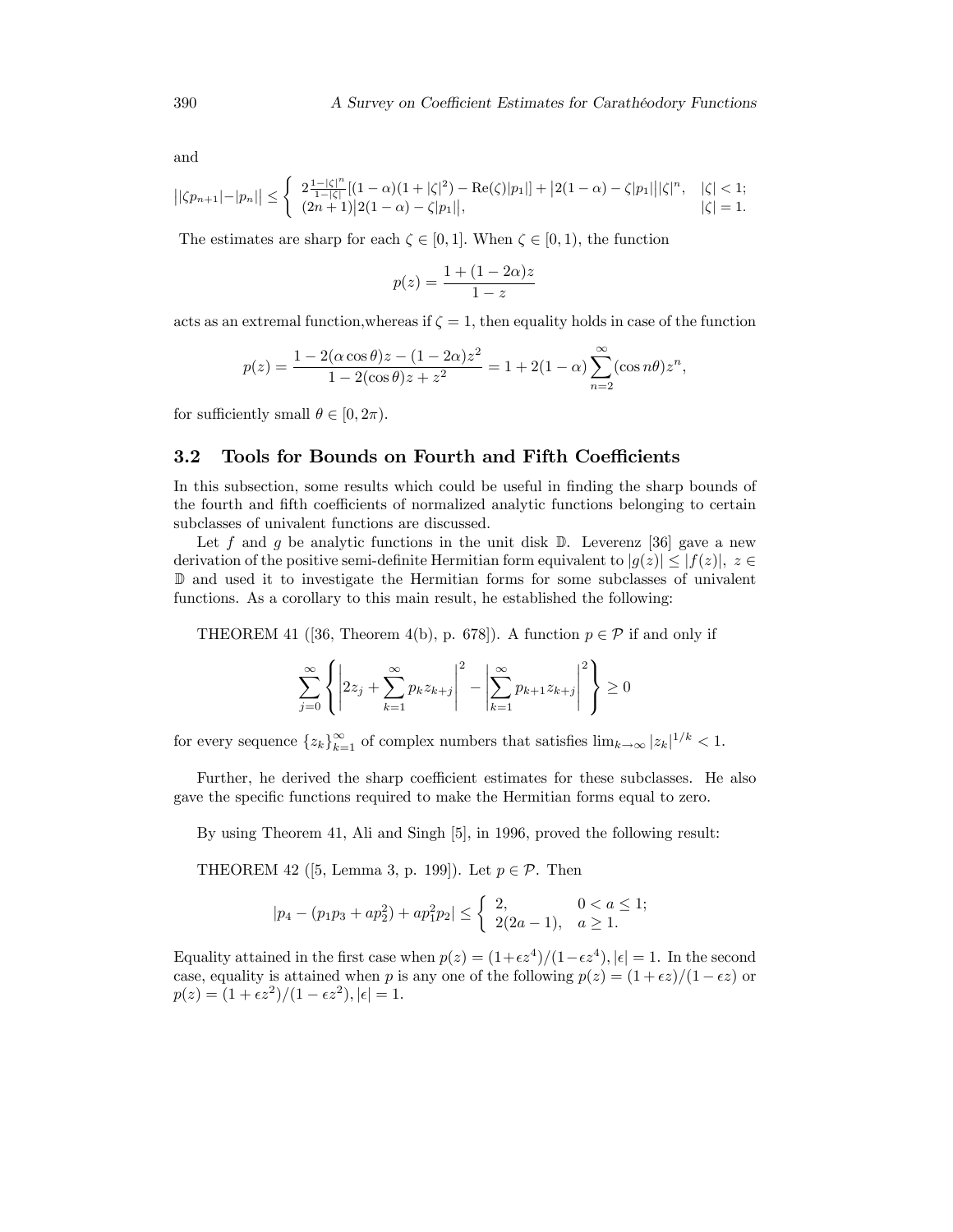and

$$
||\zeta p_{n+1}|-|p_n|| \leq \begin{cases} 2\frac{1-|\zeta|^n}{1-|\zeta|}[(1-\alpha)(1+|\zeta|^2)-\text{Re}(\zeta)|p_1|] + |2(1-\alpha)-\zeta|p_1|||\zeta|^n, & |\zeta| < 1; \\ (2n+1)|2(1-\alpha)-\zeta|p_1||, & |\zeta|=1. \end{cases}
$$

The estimates are sharp for each  $\zeta \in [0, 1]$ . When  $\zeta \in [0, 1)$ , the function

$$
p(z) = \frac{1 + (1 - 2\alpha)z}{1 - z}
$$

acts as an extremal function, whereas if  $\zeta = 1$ , then equality holds in case of the function

$$
p(z)=\frac{1-2(\alpha\cos\theta)z-(1-2\alpha)z^2}{1-2(\cos\theta)z+z^2}=1+2(1-\alpha)\sum_{n=2}^{\infty}(\cos n\theta)z^n,
$$

for sufficiently small  $\theta \in [0, 2\pi)$ .

#### 3.2 Tools for Bounds on Fourth and Fifth Coefficients

In this subsection, some results which could be useful in finding the sharp bounds of the fourth and fifth coefficients of normalized analytic functions belonging to certain subclasses of univalent functions are discussed.

Let f and q be analytic functions in the unit disk  $\mathbb{D}$ . Leverenz [36] gave a new derivation of the positive semi-definite Hermitian form equivalent to  $|g(z)| \leq |f(z)|$ ,  $z \in$ D and used it to investigate the Hermitian forms for some subclasses of univalent functions. As a corollary to this main result, he established the following:

THEOREM 41 ([36, Theorem 4(b), p. 678]). A function  $p \in \mathcal{P}$  if and only if

$$
\sum_{j=0}^{\infty} \left\{ \left| 2z_j + \sum_{k=1}^{\infty} p_k z_{k+j} \right|^2 - \left| \sum_{k=1}^{\infty} p_{k+1} z_{k+j} \right|^2 \right\} \ge 0
$$

for every sequence  $\{z_k\}_{k=1}^{\infty}$  of complex numbers that satisfies  $\lim_{k\to\infty} |z_k|^{1/k} < 1$ .

Further, he derived the sharp coefficient estimates for these subclasses. He also gave the specific functions required to make the Hermitian forms equal to zero.

By using Theorem 41, Ali and Singh [5], in 1996, proved the following result:

THEOREM 42 ([5, Lemma 3, p. 199]). Let  $p \in \mathcal{P}$ . Then

$$
|p_4 - (p_1p_3 + ap_2^2) + ap_1^2p_2| \le \begin{cases} 2, & 0 < a \le 1; \\ 2(2a - 1), & a \ge 1. \end{cases}
$$

Equality attained in the first case when  $p(z) = (1 + \epsilon z^4)/(1 - \epsilon z^4)$ ,  $|\epsilon| = 1$ . In the second case, equality is attained when p is any one of the following  $p(z) = (1 + \epsilon z)/(1 - \epsilon z)$  or  $p(z) = (1 + \epsilon z^2)/(1 - \epsilon z^2), |\epsilon| = 1.$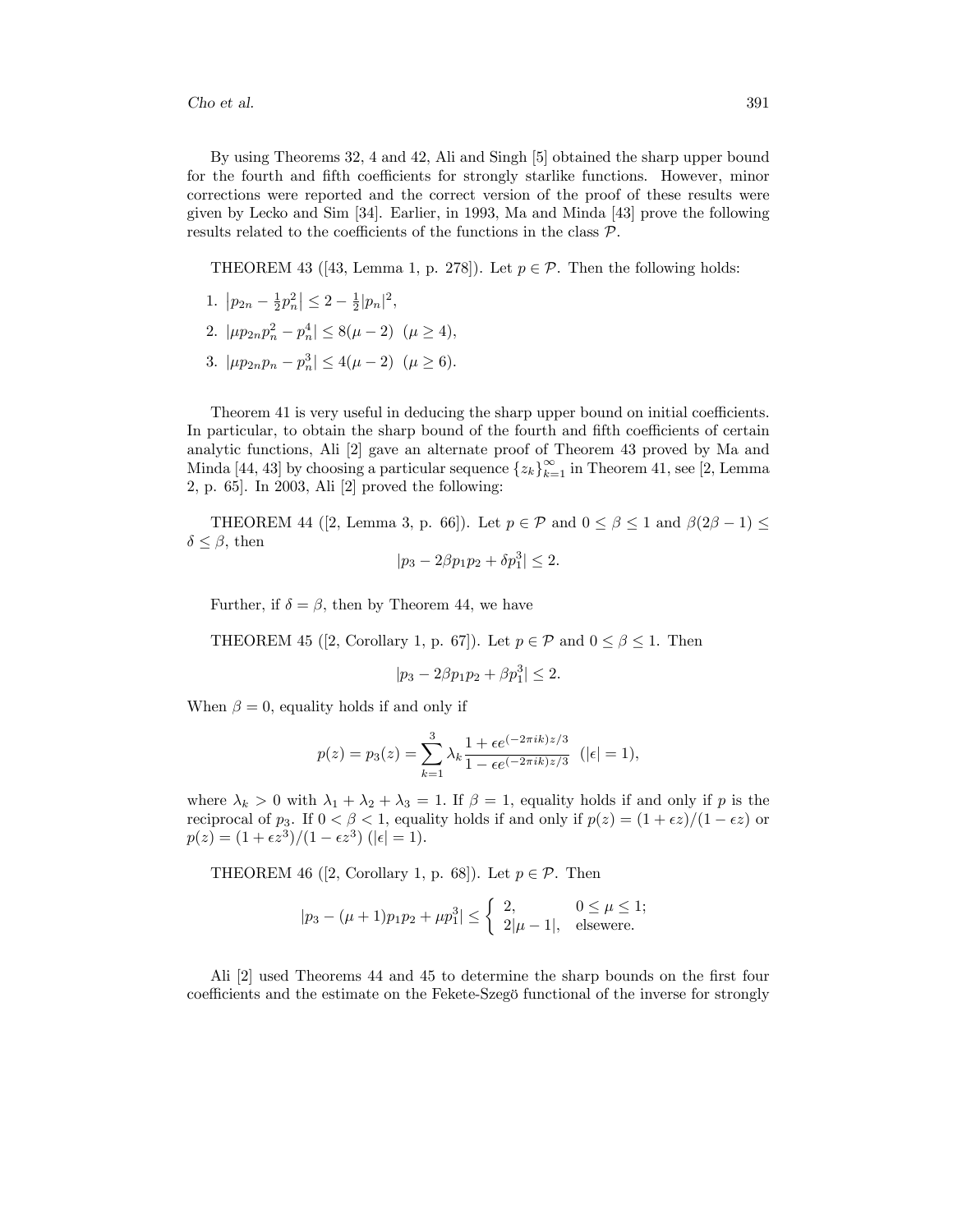By using Theorems 32, 4 and 42, Ali and Singh [5] obtained the sharp upper bound for the fourth and fifth coefficients for strongly starlike functions. However, minor corrections were reported and the correct version of the proof of these results were given by Lecko and Sim [34]. Earlier, in 1993, Ma and Minda [43] prove the following results related to the coefficients of the functions in the class  $P$ .

THEOREM 43 ([43, Lemma 1, p. 278]). Let  $p \in \mathcal{P}$ . Then the following holds:

- 1.  $|p_{2n} \frac{1}{2}p_n^2| \leq 2 \frac{1}{2}|p_n|^2$ ,
- 2.  $|\mu p_{2n} p_n^2 p_n^4| \le 8(\mu 2) \ (\mu \ge 4),$
- 3.  $|\mu p_{2n} p_n p_n^3| \le 4(\mu 2) \ (\mu \ge 6).$

Theorem 41 is very useful in deducing the sharp upper bound on initial coefficients. In particular, to obtain the sharp bound of the fourth and fifth coefficients of certain analytic functions, Ali [2] gave an alternate proof of Theorem 43 proved by Ma and Minda [44, 43] by choosing a particular sequence  $\{z_k\}_{k=1}^{\infty}$  in Theorem 41, see [2, Lemma 2, p. 65]. In 2003, Ali [2] proved the following:

THEOREM 44 ([2, Lemma 3, p. 66]). Let  $p \in \mathcal{P}$  and  $0 \leq \beta \leq 1$  and  $\beta(2\beta - 1) \leq$  $\delta \leq \beta$ , then

$$
|p_3 - 2\beta p_1 p_2 + \delta p_1^3| \le 2.
$$

Further, if  $\delta = \beta$ , then by Theorem 44, we have

THEOREM 45 ([2, Corollary 1, p. 67]). Let  $p \in \mathcal{P}$  and  $0 \leq \beta \leq 1$ . Then

$$
|p_3 - 2\beta p_1 p_2 + \beta p_1^3| \le 2.
$$

When  $\beta = 0$ , equality holds if and only if

$$
p(z) = p_3(z) = \sum_{k=1}^3 \lambda_k \frac{1 + \epsilon e^{(-2\pi i k)z/3}}{1 - \epsilon e^{(-2\pi i k)z/3}} \ \ (|\epsilon| = 1),
$$

where  $\lambda_k > 0$  with  $\lambda_1 + \lambda_2 + \lambda_3 = 1$ . If  $\beta = 1$ , equality holds if and only if p is the reciprocal of  $p_3$ . If  $0 < \beta < 1$ , equality holds if and only if  $p(z) = (1 + \epsilon z)/(1 - \epsilon z)$  or  $p(z) = (1 + \epsilon z^3)/(1 - \epsilon z^3)$  (| $\epsilon$ | = 1).

THEOREM 46 ([2, Corollary 1, p. 68]). Let  $p \in \mathcal{P}$ . Then

$$
|p_3 - (\mu + 1)p_1p_2 + \mu p_1^3| \le \begin{cases} 2, & 0 \le \mu \le 1; \\ 2|\mu - 1|, & \text{elsewere.} \end{cases}
$$

Ali [2] used Theorems 44 and 45 to determine the sharp bounds on the first four coefficients and the estimate on the Fekete-Szegö functional of the inverse for strongly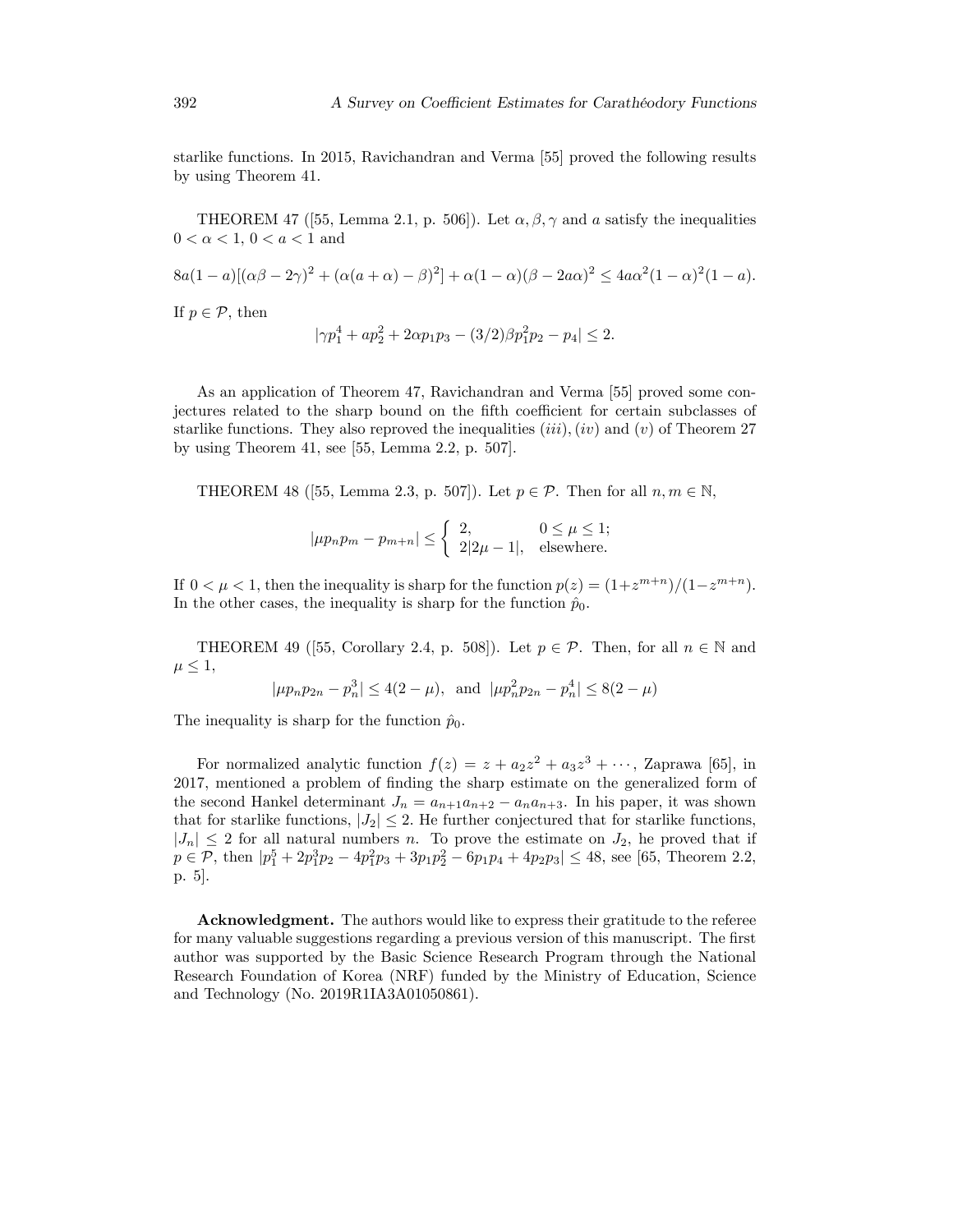starlike functions. In 2015, Ravichandran and Verma [55] proved the following results by using Theorem 41.

THEOREM 47 ([55, Lemma 2.1, p. 506]). Let  $\alpha, \beta, \gamma$  and a satisfy the inequalities  $0 < \alpha < 1, 0 < a < 1$  and

$$
8a(1-a)[(\alpha\beta - 2\gamma)^2 + (\alpha(a+\alpha) - \beta)^2] + \alpha(1-\alpha)(\beta - 2a\alpha)^2 \le 4a\alpha^2(1-\alpha)^2(1-a).
$$

If  $p \in \mathcal{P}$ , then

$$
|\gamma p_1^4 + ap_2^2 + 2\alpha p_1 p_3 - (3/2)\beta p_1^2 p_2 - p_4| \le 2.
$$

As an application of Theorem 47, Ravichandran and Verma [55] proved some conjectures related to the sharp bound on the fifth coefficient for certain subclasses of starlike functions. They also reproved the inequalities  $(iii)$ ,  $(iv)$  and  $(v)$  of Theorem 27 by using Theorem 41, see [55, Lemma 2.2, p. 507].

THEOREM 48 ([55, Lemma 2.3, p. 507]). Let  $p \in \mathcal{P}$ . Then for all  $n, m \in \mathbb{N}$ ,

$$
|\mu p_n p_m - p_{m+n}| \leq \begin{cases} 2, & 0 \leq \mu \leq 1; \\ 2|2\mu - 1|, & \text{elsewhere.} \end{cases}
$$

If  $0 < \mu < 1$ , then the inequality is sharp for the function  $p(z) = (1 + z^{m+n})/(1 - z^{m+n})$ . In the other cases, the inequality is sharp for the function  $\hat{p}_0$ .

THEOREM 49 ([55, Corollary 2.4, p. 508]). Let  $p \in \mathcal{P}$ . Then, for all  $n \in \mathbb{N}$  and  $\mu \leq 1$ ,

$$
|\mu p_n p_{2n} - p_n^3| \le 4(2 - \mu)
$$
, and  $|\mu p_n^2 p_{2n} - p_n^4| \le 8(2 - \mu)$ 

The inequality is sharp for the function  $\hat{p}_0$ .

For normalized analytic function  $f(z) = z + a_2 z^2 + a_3 z^3 + \cdots$ , Zaprawa [65], in 2017, mentioned a problem of finding the sharp estimate on the generalized form of the second Hankel determinant  $J_n = a_{n+1}a_{n+2} - a_na_{n+3}$ . In his paper, it was shown that for starlike functions,  $|J_2| \leq 2$ . He further conjectured that for starlike functions,  $|J_n| \leq 2$  for all natural numbers n. To prove the estimate on  $J_2$ , he proved that if  $p \in \mathcal{P}$ , then  $|p_1^5 + 2p_1^3p_2 - 4p_1^2p_3 + 3p_1p_2^2 - 6p_1p_4 + 4p_2p_3| \le 48$ , see [65, Theorem 2.2, p. 5].

Acknowledgment. The authors would like to express their gratitude to the referee for many valuable suggestions regarding a previous version of this manuscript. The first author was supported by the Basic Science Research Program through the National Research Foundation of Korea (NRF) funded by the Ministry of Education, Science and Technology (No. 2019R1IA3A01050861).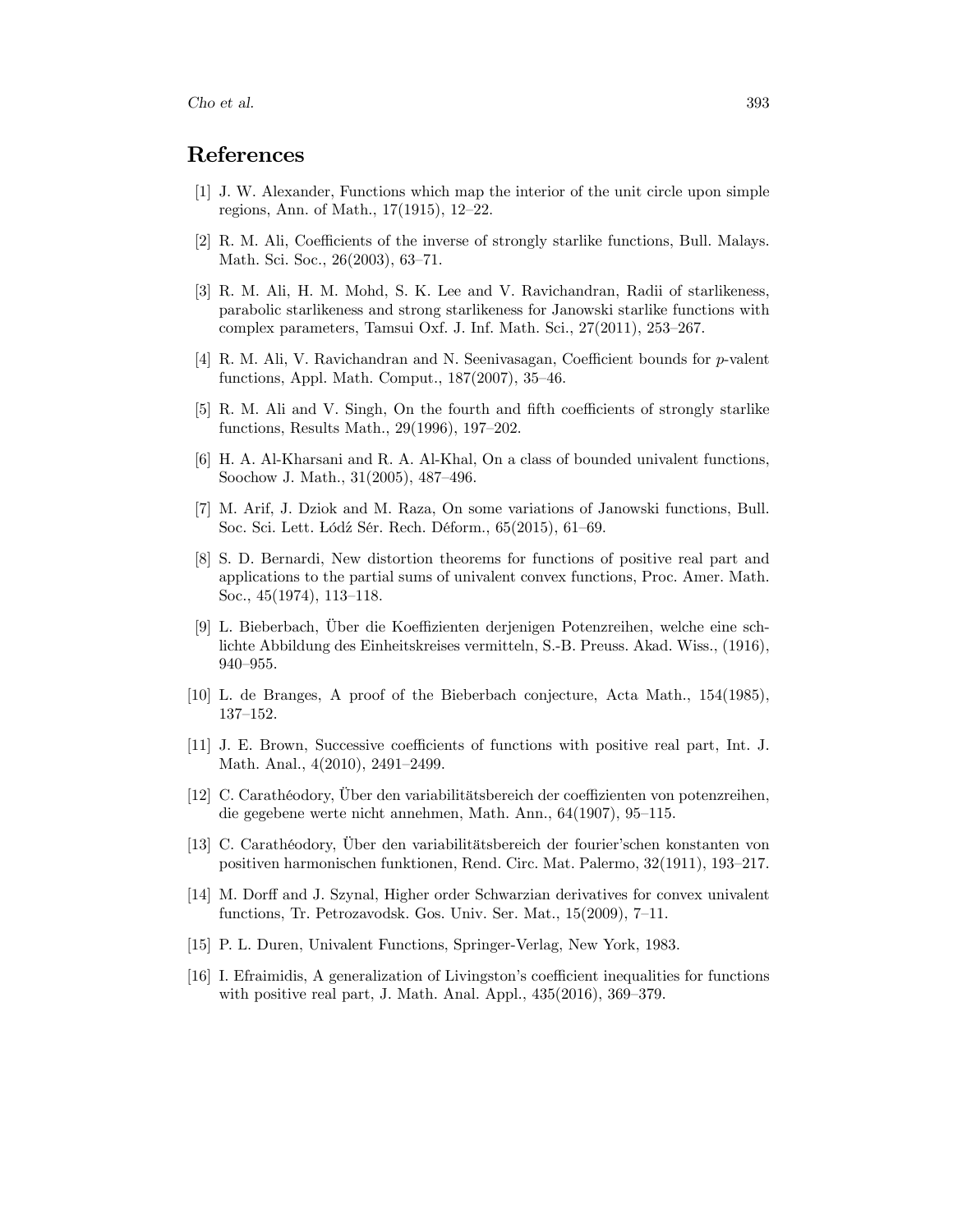## References

- [1] J. W. Alexander, Functions which map the interior of the unit circle upon simple regions, Ann. of Math.,  $17(1915)$ ,  $12-22$ .
- [2] R. M. Ali, Coefficients of the inverse of strongly starlike functions, Bull. Malays. Math. Sci. Soc., 26(2003), 63-71.
- [3] R. M. Ali, H. M. Mohd, S. K. Lee and V. Ravichandran, Radii of starlikeness, parabolic starlikeness and strong starlikeness for Janowski starlike functions with complex parameters, Tamsui Oxf. J. Inf. Math. Sci.,  $27(2011)$ ,  $253-267$ .
- [4] R. M. Ali, V. Ravichandran and N. Seenivasagan, Coefficient bounds for p-valent functions, Appl. Math. Comput.,  $187(2007)$ ,  $35-46$ .
- [5] R. M. Ali and V. Singh, On the fourth and fifth coefficients of strongly starlike functions, Results Math.,  $29(1996)$ ,  $197-202$ .
- [6] H. A. Al-Kharsani and R. A. Al-Khal, On a class of bounded univalent functions, Soochow J. Math., 31(2005), 487–496.
- [7] M. Arif, J. Dziok and M. Raza, On some variations of Janowski functions, Bull. Soc. Sci. Lett. Łódź Sér. Rech. Déform., 65(2015), 61–69.
- [8] S. D. Bernardi, New distortion theorems for functions of positive real part and applications to the partial sums of univalent convex functions, Proc. Amer. Math. Soc.,  $45(1974)$ ,  $113-118$ .
- [9] L. Bieberbach, Über die Koeffizienten derjenigen Potenzreihen, welche eine schlichte Abbildung des Einheitskreises vermitteln, S.-B. Preuss. Akad. Wiss., (1916), 940-955.
- [10] L. de Branges, A proof of the Bieberbach conjecture, Acta Math., 154(1985), 137-152.
- [11] J. E. Brown, Successive coefficients of functions with positive real part, Int. J. Math. Anal.,  $4(2010)$ ,  $2491-2499$ .
- [12] C. Carathéodory, Über den variabilitätsbereich der coeffizienten von potenzreihen, die gegebene werte nicht annehmen, Math. Ann.,  $64(1907)$ ,  $95-115$ .
- [13] C. Carathéodory, Über den variabilitätsbereich der fourier'schen konstanten von positiven harmonischen funktionen, Rend. Circ. Mat. Palermo, 32(1911), 193-217.
- [14] M. Dorff and J. Szynal, Higher order Schwarzian derivatives for convex univalent functions, Tr. Petrozavodsk. Gos. Univ. Ser. Mat.,  $15(2009)$ ,  $7-11$ .
- [15] P. L. Duren, Univalent Functions, Springer-Verlag, New York, 1983.
- [16] I. Efraimidis, A generalization of Livingston's coefficient inequalities for functions with positive real part, J. Math. Anal. Appl.,  $435(2016)$ ,  $369-379$ .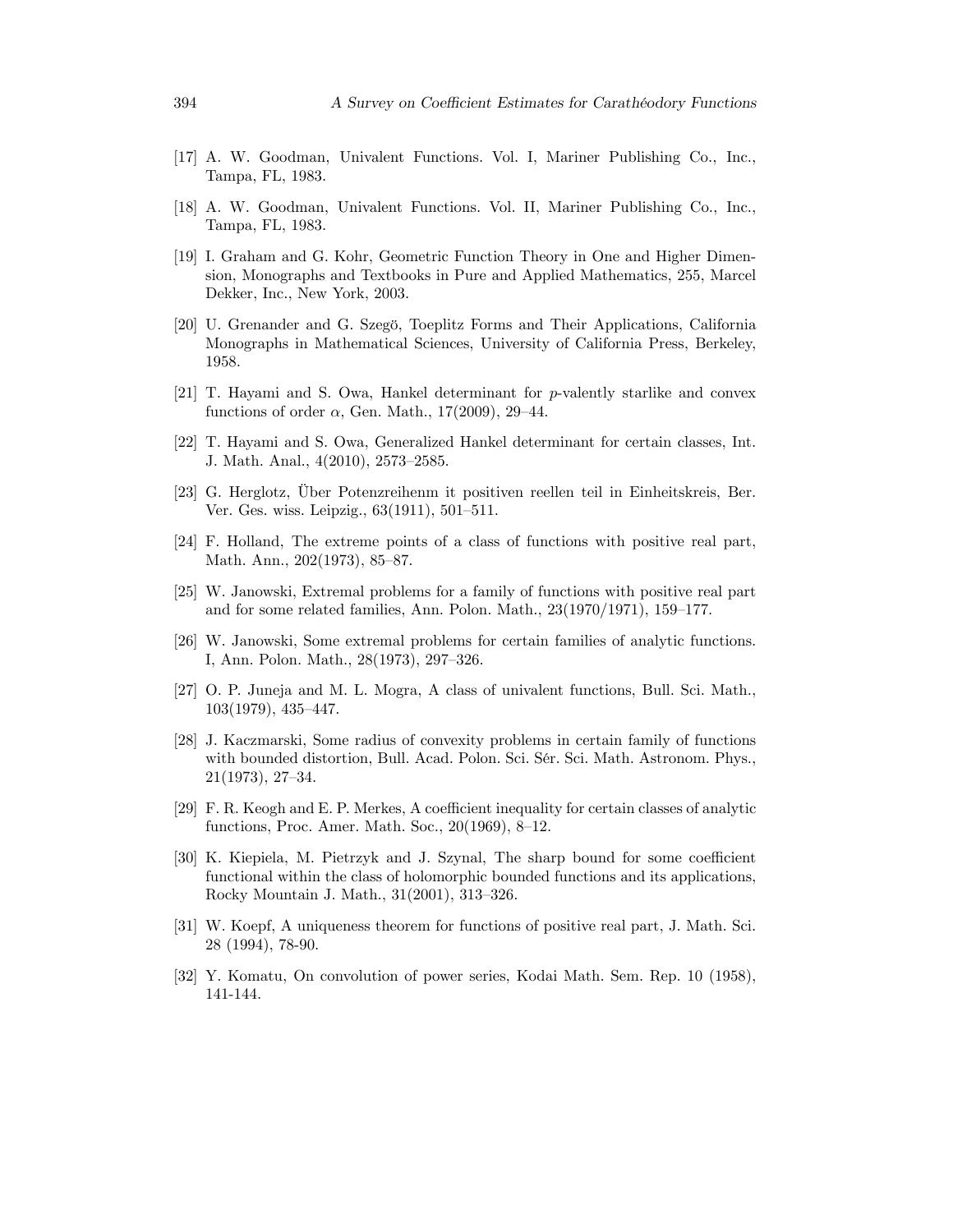- [17] A. W. Goodman, Univalent Functions. Vol. I, Mariner Publishing Co., Inc., Tampa, FL, 1983.
- [18] A. W. Goodman, Univalent Functions. Vol. II, Mariner Publishing Co., Inc., Tampa, FL, 1983.
- [19] I. Graham and G. Kohr, Geometric Function Theory in One and Higher Dimension, Monographs and Textbooks in Pure and Applied Mathematics, 255, Marcel Dekker, Inc., New York, 2003.
- [20] U. Grenander and G. Szegö, Toeplitz Forms and Their Applications, California Monographs in Mathematical Sciences, University of California Press, Berkeley, 1958.
- [21] T. Hayami and S. Owa, Hankel determinant for p-valently starlike and convex functions of order  $\alpha$ , Gen. Math., 17(2009), 29–44.
- [22] T. Hayami and S. Owa, Generalized Hankel determinant for certain classes, Int. J. Math. Anal., 4(2010), 2573–2585.
- [23] G. Herglotz, Über Potenzreihenm it positiven reellen teil in Einheitskreis, Ber. Ver. Ges. wiss. Leipzig.,  $63(1911)$ ,  $501-511$ .
- [24] F. Holland, The extreme points of a class of functions with positive real part, Math. Ann.,  $202(1973)$ , 85–87.
- [25] W. Janowski, Extremal problems for a family of functions with positive real part and for some related families, Ann. Polon. Math.,  $23(1970/1971)$ ,  $159-177$ .
- [26] W. Janowski, Some extremal problems for certain families of analytic functions. I, Ann. Polon. Math., 28(1973), 297–326.
- [27] O. P. Juneja and M. L. Mogra, A class of univalent functions, Bull. Sci. Math.,  $103(1979), 435-447.$
- [28] J. Kaczmarski, Some radius of convexity problems in certain family of functions with bounded distortion, Bull. Acad. Polon. Sci. Sér. Sci. Math. Astronom. Phys.,  $21(1973), 27-34.$
- [29] F. R. Keogh and E. P. Merkes, A coefficient inequality for certain classes of analytic functions, Proc. Amer. Math. Soc.,  $20(1969)$ , 8–12.
- [30] K. Kiepiela, M. Pietrzyk and J. Szynal, The sharp bound for some coefficient functional within the class of holomorphic bounded functions and its applications, Rocky Mountain J. Math.,  $31(2001)$ ,  $313-326$ .
- [31] W. Koepf, A uniqueness theorem for functions of positive real part, J. Math. Sci. 28 (1994), 78-90.
- [32] Y. Komatu, On convolution of power series, Kodai Math. Sem. Rep. 10 (1958), 141-144.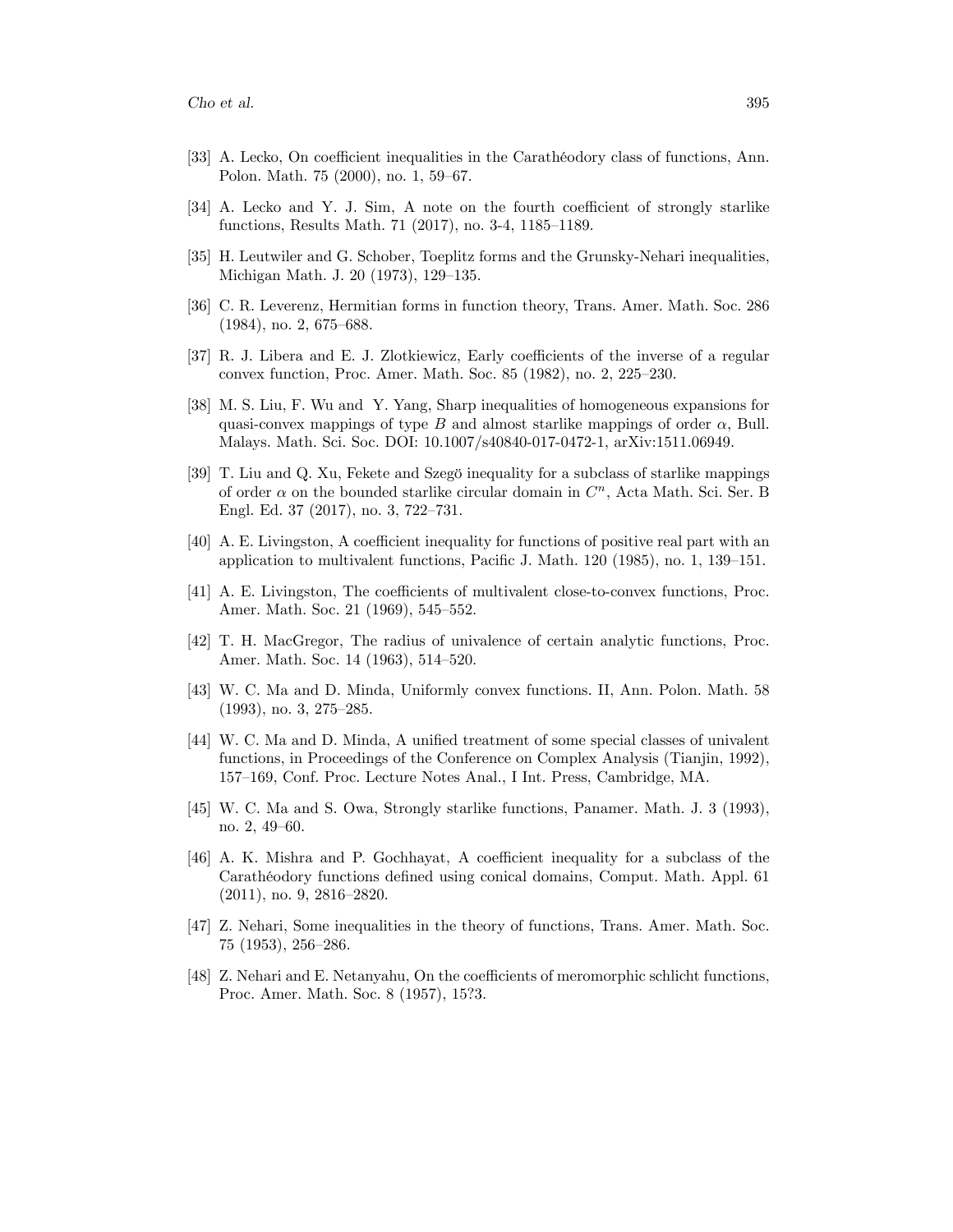- [33] A. Lecko, On coefficient inequalities in the Carathéodory class of functions, Ann. Polon. Math. 75 (2000), no. 1, 59–67.
- $[34]$  A. Lecko and Y. J. Sim, A note on the fourth coefficient of strongly starlike functions, Results Math. 71 (2017), no. 3-4, 1185–1189.
- [35] H. Leutwiler and G. Schober, Toeplitz forms and the Grunsky-Nehari inequalities, Michigan Math. J. 20 (1973), 129-135.
- [36] C. R. Leverenz, Hermitian forms in function theory, Trans. Amer. Math. Soc. 286  $(1984)$ , no. 2, 675–688.
- [37] R. J. Libera and E. J. Zlotkiewicz, Early coefficients of the inverse of a regular convex function, Proc. Amer. Math. Soc. 85 (1982), no. 2, 225–230.
- [38] M. S. Liu, F. Wu and Y. Yang, Sharp inequalities of homogeneous expansions for quasi-convex mappings of type B and almost starlike mappings of order  $\alpha$ , Bull. Malays. Math. Sci. Soc. DOI: 10.1007/s40840-017-0472-1, arXiv:1511.06949.
- [39] T. Liu and Q. Xu, Fekete and Szegö inequality for a subclass of starlike mappings of order  $\alpha$  on the bounded starlike circular domain in  $C<sup>n</sup>$ , Acta Math. Sci. Ser. B Engl. Ed. 37 (2017), no. 3, 722-731.
- [40] A. E. Livingston, A coefficient inequality for functions of positive real part with an application to multivalent functions, Pacific J. Math.  $120$  (1985), no. 1, 139–151.
- [41] A. E. Livingston, The coefficients of multivalent close-to-convex functions, Proc. Amer. Math. Soc. 21 (1969), 545–552.
- [42] T. H. MacGregor, The radius of univalence of certain analytic functions, Proc. Amer. Math. Soc. 14 (1963), 514–520.
- [43] W. C. Ma and D. Minda, Uniformly convex functions. II, Ann. Polon. Math. 58  $(1993)$ , no. 3, 275–285.
- [44] W. C. Ma and D. Minda, A unified treatment of some special classes of univalent functions, in Proceedings of the Conference on Complex Analysis (Tianjin, 1992), 157–169, Conf. Proc. Lecture Notes Anal., I Int. Press, Cambridge, MA.
- [45] W. C. Ma and S. Owa, Strongly starlike functions, Panamer. Math. J. 3 (1993), no. 2, 49–60.
- [46] A. K. Mishra and P. Gochhayat, A coefficient inequality for a subclass of the Carathéodory functions defined using conical domains, Comput. Math. Appl. 61  $(2011)$ , no. 9, 2816–2820.
- [47] Z. Nehari, Some inequalities in the theory of functions, Trans. Amer. Math. Soc. 75 (1953), 256–286.
- [48] Z. Nehari and E. Netanyahu, On the coefficients of meromorphic schlicht functions, Proc. Amer. Math. Soc. 8 (1957), 15?3.